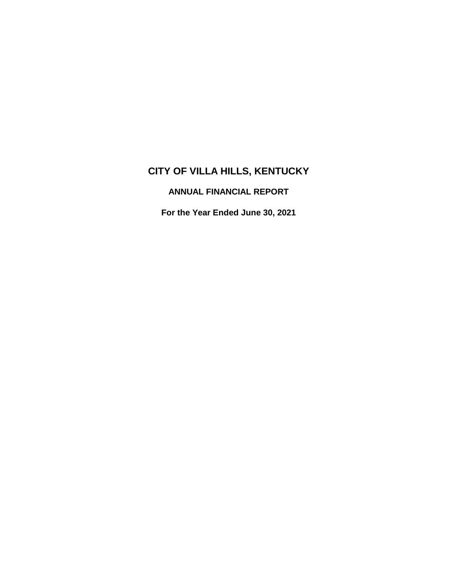# **CITY OF VILLA HILLS, KENTUCKY**

**ANNUAL FINANCIAL REPORT**

**For the Year Ended June 30, 2021**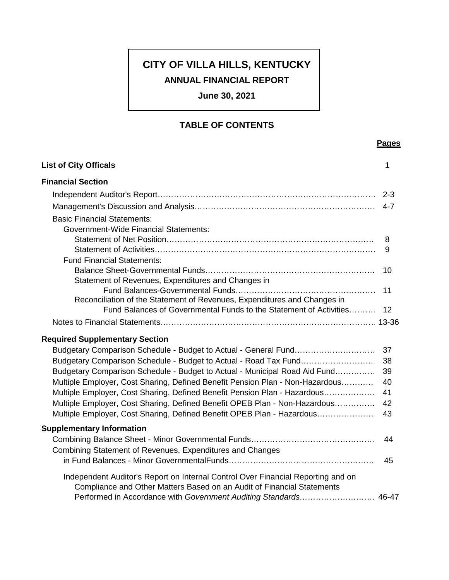# **CITY OF VILLA HILLS, KENTUCKY ANNUAL FINANCIAL REPORT**

**June 30, 2021**

## **TABLE OF CONTENTS**

| <b>List of City Officals</b>                                                     |     |
|----------------------------------------------------------------------------------|-----|
| <b>Financial Section</b>                                                         |     |
|                                                                                  |     |
|                                                                                  |     |
| <b>Basic Financial Statements:</b>                                               |     |
| <b>Government-Wide Financial Statements:</b>                                     |     |
|                                                                                  |     |
|                                                                                  |     |
| <b>Fund Financial Statements:</b>                                                |     |
|                                                                                  |     |
| Statement of Revenues, Expenditures and Changes in                               |     |
|                                                                                  |     |
| Reconciliation of the Statement of Revenues, Expenditures and Changes in         |     |
| Fund Balances of Governmental Funds to the Statement of Activities 12            |     |
|                                                                                  |     |
| <b>Required Supplementary Section</b>                                            |     |
|                                                                                  |     |
|                                                                                  |     |
| Budgetary Comparison Schedule - Budget to Actual - Municipal Road Aid Fund 39    |     |
| Multiple Employer, Cost Sharing, Defined Benefit Pension Plan - Non-Hazardous 40 |     |
| Multiple Employer, Cost Sharing, Defined Benefit Pension Plan - Hazardous 41     |     |
| Multiple Employer, Cost Sharing, Defined Benefit OPEB Plan - Non-Hazardous 42    |     |
|                                                                                  |     |
| <b>Supplementary Information</b>                                                 |     |
|                                                                                  |     |
| Combining Statement of Revenues, Expenditures and Changes                        |     |
|                                                                                  | -45 |
| Independent Auditor's Report on Internal Control Over Financial Reporting and on |     |
| Compliance and Other Matters Based on an Audit of Financial Statements           |     |
| Performed in Accordance with Government Auditing Standards 46-47                 |     |

## **Pages**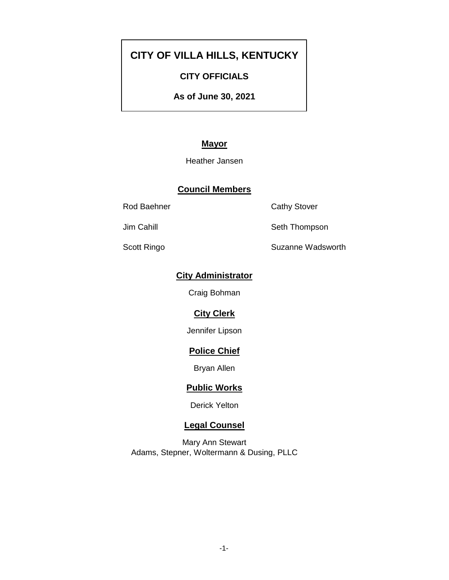# **CITY OF VILLA HILLS, KENTUCKY**

## **CITY OFFICIALS**

**As of June 30, 2021**

## **Mayor**

Heather Jansen

## **Council Members**

Rod Baehner **Cathy Stover** Cathy Stover

Jim Cahill Seth Thompson

Scott Ringo **Suzanne Wadsworth** 

## **City Administrator**

Craig Bohman

## **City Clerk**

Jennifer Lipson

## **Police Chief**

Bryan Allen

## **Public Works**

Derick Yelton

## **Legal Counsel**

Mary Ann Stewart Adams, Stepner, Woltermann & Dusing, PLLC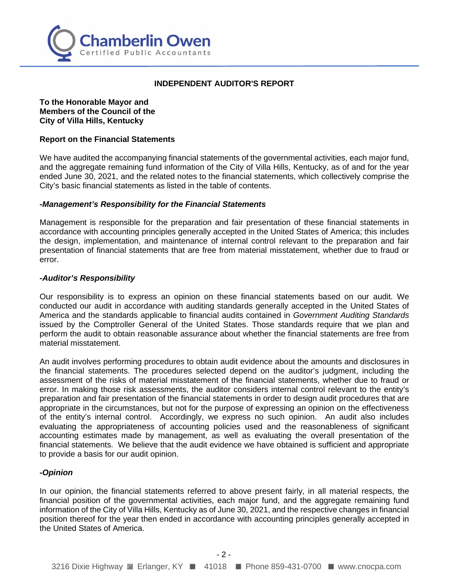

#### **INDEPENDENT AUDITOR'S REPORT**

**To the Honorable Mayor and Members of the Council of the City of Villa Hills, Kentucky** 

#### **Report on the Financial Statements**

We have audited the accompanying financial statements of the governmental activities, each major fund, and the aggregate remaining fund information of the City of Villa Hills, Kentucky, as of and for the year ended June 30, 2021, and the related notes to the financial statements, which collectively comprise the City's basic financial statements as listed in the table of contents.

#### *-Management's Responsibility for the Financial Statements*

Management is responsible for the preparation and fair presentation of these financial statements in accordance with accounting principles generally accepted in the United States of America; this includes the design, implementation, and maintenance of internal control relevant to the preparation and fair presentation of financial statements that are free from material misstatement, whether due to fraud or error.

#### *-Auditor's Responsibility*

Our responsibility is to express an opinion on these financial statements based on our audit. We conducted our audit in accordance with auditing standards generally accepted in the United States of America and the standards applicable to financial audits contained in *Government Auditing Standards* issued by the Comptroller General of the United States. Those standards require that we plan and perform the audit to obtain reasonable assurance about whether the financial statements are free from material misstatement.

An audit involves performing procedures to obtain audit evidence about the amounts and disclosures in the financial statements. The procedures selected depend on the auditor's judgment, including the assessment of the risks of material misstatement of the financial statements, whether due to fraud or error. In making those risk assessments, the auditor considers internal control relevant to the entity's preparation and fair presentation of the financial statements in order to design audit procedures that are appropriate in the circumstances, but not for the purpose of expressing an opinion on the effectiveness of the entity's internal control. Accordingly, we express no such opinion. An audit also includes evaluating the appropriateness of accounting policies used and the reasonableness of significant accounting estimates made by management, as well as evaluating the overall presentation of the financial statements. We believe that the audit evidence we have obtained is sufficient and appropriate to provide a basis for our audit opinion.

#### *-Opinion*

In our opinion, the financial statements referred to above present fairly, in all material respects, the financial position of the governmental activities, each major fund, and the aggregate remaining fund information of the City of Villa Hills, Kentucky as of June 30, 2021, and the respective changes in financial position thereof for the year then ended in accordance with accounting principles generally accepted in the United States of America.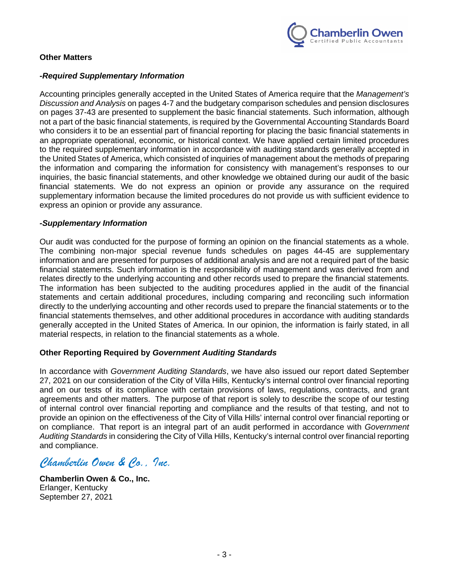

### **Other Matters**

#### *-Required Supplementary Information*

Accounting principles generally accepted in the United States of America require that the *Management's Discussion and Analysis* on pages 4-7 and the budgetary comparison schedules and pension disclosures on pages 37-43 are presented to supplement the basic financial statements. Such information, although not a part of the basic financial statements, is required by the Governmental Accounting Standards Board who considers it to be an essential part of financial reporting for placing the basic financial statements in an appropriate operational, economic, or historical context. We have applied certain limited procedures to the required supplementary information in accordance with auditing standards generally accepted in the United States of America, which consisted of inquiries of management about the methods of preparing the information and comparing the information for consistency with management's responses to our inquiries, the basic financial statements, and other knowledge we obtained during our audit of the basic financial statements. We do not express an opinion or provide any assurance on the required supplementary information because the limited procedures do not provide us with sufficient evidence to express an opinion or provide any assurance.

#### *-Supplementary Information*

Our audit was conducted for the purpose of forming an opinion on the financial statements as a whole. The combining non-major special revenue funds schedules on pages 44-45 are supplementary information and are presented for purposes of additional analysis and are not a required part of the basic financial statements. Such information is the responsibility of management and was derived from and relates directly to the underlying accounting and other records used to prepare the financial statements. The information has been subjected to the auditing procedures applied in the audit of the financial statements and certain additional procedures, including comparing and reconciling such information directly to the underlying accounting and other records used to prepare the financial statements or to the financial statements themselves, and other additional procedures in accordance with auditing standards generally accepted in the United States of America. In our opinion, the information is fairly stated, in all material respects, in relation to the financial statements as a whole.

#### **Other Reporting Required by** *Government Auditing Standards*

In accordance with *Government Auditing Standards*, we have also issued our report dated September 27, 2021 on our consideration of the City of Villa Hills, Kentucky's internal control over financial reporting and on our tests of its compliance with certain provisions of laws, regulations, contracts, and grant agreements and other matters. The purpose of that report is solely to describe the scope of our testing of internal control over financial reporting and compliance and the results of that testing, and not to provide an opinion on the effectiveness of the City of Villa Hills' internal control over financial reporting or on compliance. That report is an integral part of an audit performed in accordance with *Government Auditing Standards* in considering the City of Villa Hills, Kentucky's internal control over financial reporting and compliance.

*Chamberlin Owen & Co., Inc.* 

**Chamberlin Owen & Co., Inc.** Erlanger, Kentucky September 27, 2021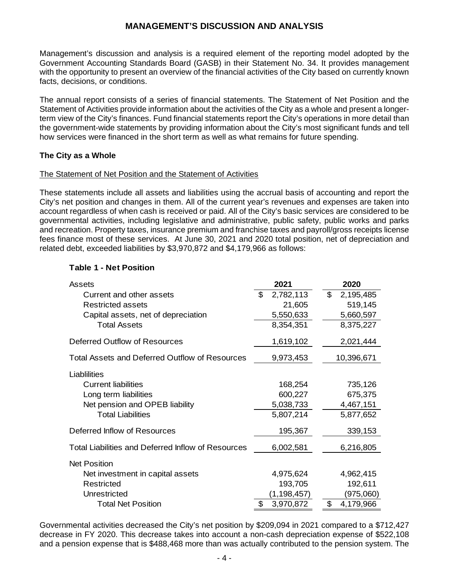## **MANAGEMENT'S DISCUSSION AND ANALYSIS**

Management's discussion and analysis is a required element of the reporting model adopted by the Government Accounting Standards Board (GASB) in their Statement No. 34. It provides management with the opportunity to present an overview of the financial activities of the City based on currently known facts, decisions, or conditions.

The annual report consists of a series of financial statements. The Statement of Net Position and the Statement of Activities provide information about the activities of the City as a whole and present a longerterm view of the City's finances. Fund financial statements report the City's operations in more detail than the government-wide statements by providing information about the City's most significant funds and tell how services were financed in the short term as well as what remains for future spending.

#### **The City as a Whole**

#### The Statement of Net Position and the Statement of Activities

These statements include all assets and liabilities using the accrual basis of accounting and report the City's net position and changes in them. All of the current year's revenues and expenses are taken into account regardless of when cash is received or paid. All of the City's basic services are considered to be governmental activities, including legislative and administrative, public safety, public works and parks and recreation. Property taxes, insurance premium and franchise taxes and payroll/gross receipts license fees finance most of these services. At June 30, 2021 and 2020 total position, net of depreciation and related debt, exceeded liabilities by \$3,970,872 and \$4,179,966 as follows:

#### **Table 1 - Net Position**

| Assets                                                    | 2021            | 2020                      |
|-----------------------------------------------------------|-----------------|---------------------------|
| Current and other assets                                  | \$<br>2,782,113 | $\mathbb{S}$<br>2,195,485 |
| <b>Restricted assets</b>                                  | 21,605          | 519,145                   |
| Capital assets, net of depreciation                       | 5,550,633       | 5,660,597                 |
| <b>Total Assets</b>                                       | 8,354,351       | 8,375,227                 |
| Deferred Outflow of Resources                             | 1,619,102       | 2,021,444                 |
| <b>Total Assets and Deferred Outflow of Resources</b>     | 9,973,453       | 10,396,671                |
| Liablilities                                              |                 |                           |
| <b>Current liabilities</b>                                | 168,254         | 735,126                   |
| Long term liabilities                                     | 600,227         | 675,375                   |
| Net pension and OPEB liability                            | 5,038,733       | 4,467,151                 |
| <b>Total Liabilities</b>                                  | 5,807,214       | 5,877,652                 |
| Deferred Inflow of Resources                              | 195,367         | 339,153                   |
| <b>Total Liabilities and Deferred Inflow of Resources</b> | 6,002,581       | 6,216,805                 |
| <b>Net Position</b>                                       |                 |                           |
| Net investment in capital assets                          | 4,975,624       | 4,962,415                 |
| Restricted                                                | 193,705         | 192,611                   |
| Unrestricted                                              | (1, 198, 457)   | (975,060)                 |
| <b>Total Net Position</b>                                 | \$<br>3,970,872 | \$<br>4,179,966           |

Governmental activities decreased the City's net position by \$209,094 in 2021 compared to a \$712,427 decrease in FY 2020. This decrease takes into account a non-cash depreciation expense of \$522,108 and a pension expense that is \$488,468 more than was actually contributed to the pension system. The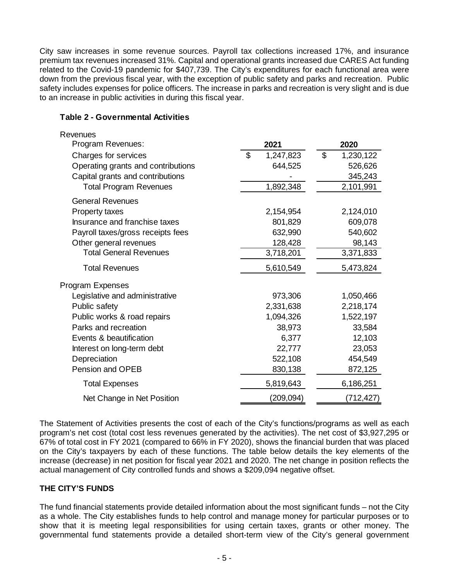City saw increases in some revenue sources. Payroll tax collections increased 17%, and insurance premium tax revenues increased 31%. Capital and operational grants increased due CARES Act funding related to the Covid-19 pandemic for \$407,739. The City's expenditures for each functional area were down from the previous fiscal year, with the exception of public safety and parks and recreation. Public safety includes expenses for police officers. The increase in parks and recreation is very slight and is due to an increase in public activities in during this fiscal year.

#### **Table 2 - Governmental Activities**

| Revenues                           |                 |                 |
|------------------------------------|-----------------|-----------------|
| Program Revenues:                  | 2021            | 2020            |
| Charges for services               | \$<br>1,247,823 | \$<br>1,230,122 |
| Operating grants and contributions | 644,525         | 526,626         |
| Capital grants and contributions   |                 | 345,243         |
| <b>Total Program Revenues</b>      | 1,892,348       | 2,101,991       |
| <b>General Revenues</b>            |                 |                 |
| Property taxes                     | 2,154,954       | 2,124,010       |
| Insurance and franchise taxes      | 801,829         | 609,078         |
| Payroll taxes/gross receipts fees  | 632,990         | 540,602         |
| Other general revenues             | 128,428         | 98,143          |
| <b>Total General Revenues</b>      | 3,718,201       | 3,371,833       |
| <b>Total Revenues</b>              | 5,610,549       | 5,473,824       |
| Program Expenses                   |                 |                 |
| Legislative and administrative     | 973,306         | 1,050,466       |
| Public safety                      | 2,331,638       | 2,218,174       |
| Public works & road repairs        | 1,094,326       | 1,522,197       |
| Parks and recreation               | 38,973          | 33,584          |
| Events & beautification            | 6,377           | 12,103          |
| Interest on long-term debt         | 22,777          | 23,053          |
| Depreciation                       | 522,108         | 454,549         |
| Pension and OPEB                   | 830,138         | 872,125         |
| <b>Total Expenses</b>              | 5,819,643       | 6,186,251       |
| Net Change in Net Position         | (209,094)       | (712, 427)      |

The Statement of Activities presents the cost of each of the City's functions/programs as well as each program's net cost (total cost less revenues generated by the activities). The net cost of \$3,927,295 or 67% of total cost in FY 2021 (compared to 66% in FY 2020), shows the financial burden that was placed on the City's taxpayers by each of these functions. The table below details the key elements of the increase (decrease) in net position for fiscal year 2021 and 2020. The net change in position reflects the actual management of City controlled funds and shows a \$209,094 negative offset.

#### **THE CITY'S FUNDS**

The fund financial statements provide detailed information about the most significant funds – not the City as a whole. The City establishes funds to help control and manage money for particular purposes or to show that it is meeting legal responsibilities for using certain taxes, grants or other money. The governmental fund statements provide a detailed short-term view of the City's general government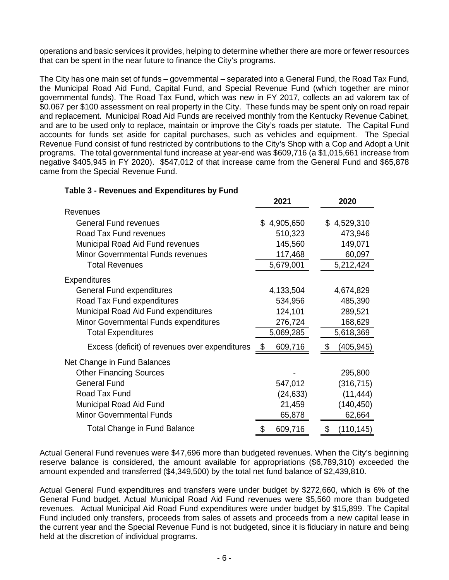operations and basic services it provides, helping to determine whether there are more or fewer resources that can be spent in the near future to finance the City's programs.

The City has one main set of funds – governmental – separated into a General Fund, the Road Tax Fund, the Municipal Road Aid Fund, Capital Fund, and Special Revenue Fund (which together are minor governmental funds). The Road Tax Fund, which was new in FY 2017, collects an ad valorem tax of \$0.067 per \$100 assessment on real property in the City. These funds may be spent only on road repair and replacement. Municipal Road Aid Funds are received monthly from the Kentucky Revenue Cabinet, and are to be used only to replace, maintain or improve the City's roads per statute. The Capital Fund accounts for funds set aside for capital purchases, such as vehicles and equipment. The Special Revenue Fund consist of fund restricted by contributions to the City's Shop with a Cop and Adopt a Unit programs. The total governmental fund increase at year-end was \$609,716 (a \$1,015,661 increase from negative \$405,945 in FY 2020). \$547,012 of that increase came from the General Fund and \$65,878 came from the Special Revenue Fund.

#### **Table 3 - Revenues and Expenditures by Fund**

|                                                | 2021          | 2020             |
|------------------------------------------------|---------------|------------------|
| Revenues                                       |               |                  |
| <b>General Fund revenues</b>                   | \$4,905,650   | \$4,529,310      |
| Road Tax Fund revenues                         | 510,323       | 473,946          |
| Municipal Road Aid Fund revenues               | 145,560       | 149,071          |
| <b>Minor Governmental Funds revenues</b>       | 117,468       | 60,097           |
| <b>Total Revenues</b>                          | 5,679,001     | 5,212,424        |
| <b>Expenditures</b>                            |               |                  |
| <b>General Fund expenditures</b>               | 4,133,504     | 4,674,829        |
| Road Tax Fund expenditures                     | 534,956       | 485,390          |
| Municipal Road Aid Fund expenditures           | 124,101       | 289,521          |
| Minor Governmental Funds expenditures          | 276,724       | 168,629          |
| <b>Total Expenditures</b>                      | 5,069,285     | 5,618,369        |
| Excess (deficit) of revenues over expenditures | 609,716<br>£. | (405, 945)       |
| Net Change in Fund Balances                    |               |                  |
| <b>Other Financing Sources</b>                 |               | 295,800          |
| <b>General Fund</b>                            | 547,012       | (316, 715)       |
| Road Tax Fund                                  | (24,633)      | (11, 444)        |
| Municipal Road Aid Fund                        | 21,459        | (140, 450)       |
| <b>Minor Governmental Funds</b>                | 65,878        | 62,664           |
| <b>Total Change in Fund Balance</b>            | \$<br>609,716 | \$<br>(110, 145) |

Actual General Fund revenues were \$47,696 more than budgeted revenues. When the City's beginning reserve balance is considered, the amount available for appropriations (\$6,789,310) exceeded the amount expended and transferred (\$4,349,500) by the total net fund balance of \$2,439,810.

Actual General Fund expenditures and transfers were under budget by \$272,660, which is 6% of the General Fund budget. Actual Municipal Road Aid Fund revenues were \$5,560 more than budgeted revenues. Actual Municipal Aid Road Fund expenditures were under budget by \$15,899. The Capital Fund included only transfers, proceeds from sales of assets and proceeds from a new capital lease in the current year and the Special Revenue Fund is not budgeted, since it is fiduciary in nature and being held at the discretion of individual programs.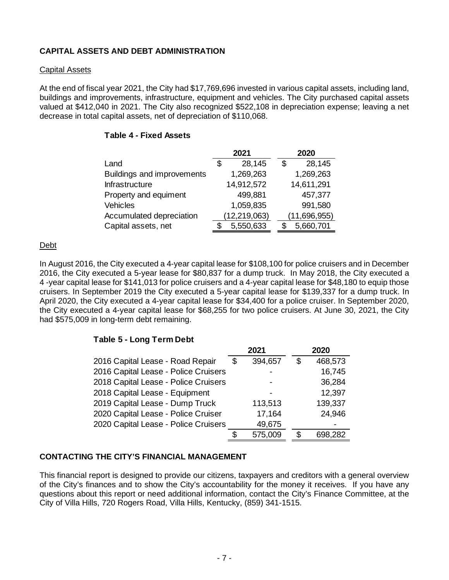## **CAPITAL ASSETS AND DEBT ADMINISTRATION**

#### Capital Assets

At the end of fiscal year 2021, the City had \$17,769,696 invested in various capital assets, including land, buildings and improvements, infrastructure, equipment and vehicles. The City purchased capital assets valued at \$412,040 in 2021. The City also recognized \$522,108 in depreciation expense; leaving a net decrease in total capital assets, net of depreciation of \$110,068.

#### **Table 4 - Fixed Assets**

|                            |   | 2021           | 2020         |
|----------------------------|---|----------------|--------------|
| Land                       | S | 28,145         | \$<br>28,145 |
| Buildings and improvements |   | 1,269,263      | 1,269,263    |
| Infrastructure             |   | 14,912,572     | 14,611,291   |
| Property and equiment      |   | 499,881        | 457,377      |
| <b>Vehicles</b>            |   | 1,059,835      | 991,580      |
| Accumulated depreciation   |   | (12, 219, 063) | (11,696,955) |
| Capital assets, net        |   | 5,550,633      | 5,660,701    |

#### Debt

In August 2016, the City executed a 4-year capital lease for \$108,100 for police cruisers and in December 2016, the City executed a 5-year lease for \$80,837 for a dump truck. In May 2018, the City executed a 4 -year capital lease for \$141,013 for police cruisers and a 4-year capital lease for \$48,180 to equip those cruisers. In September 2019 the City executed a 5-year capital lease for \$139,337 for a dump truck. In April 2020, the City executed a 4-year capital lease for \$34,400 for a police cruiser. In September 2020, the City executed a 4-year capital lease for \$68,255 for two police cruisers. At June 30, 2021, the City had \$575,009 in long-term debt remaining.

#### **Table 5 - Long Term Debt**

|                                      | 2021    | 2020          |
|--------------------------------------|---------|---------------|
| 2016 Capital Lease - Road Repair     | 394,657 | \$<br>468,573 |
| 2016 Capital Lease - Police Cruisers |         | 16,745        |
| 2018 Capital Lease - Police Cruisers |         | 36,284        |
| 2018 Capital Lease - Equipment       |         | 12,397        |
| 2019 Capital Lease - Dump Truck      | 113,513 | 139,337       |
| 2020 Capital Lease - Police Cruiser  | 17,164  | 24,946        |
| 2020 Capital Lease - Police Cruisers | 49,675  |               |
|                                      | 575,009 | \$<br>698,282 |

## **CONTACTING THE CITY'S FINANCIAL MANAGEMENT**

This financial report is designed to provide our citizens, taxpayers and creditors with a general overview of the City's finances and to show the City's accountability for the money it receives. If you have any questions about this report or need additional information, contact the City's Finance Committee, at the City of Villa Hills, 720 Rogers Road, Villa Hills, Kentucky, (859) 341-1515.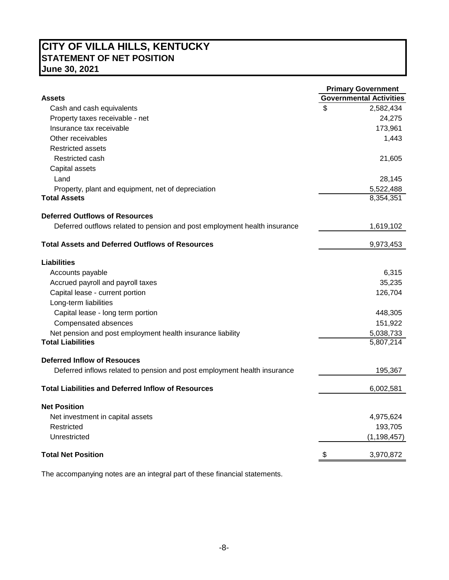## **CITY OF VILLA HILLS, KENTUCKY STATEMENT OF NET POSITION June 30, 2021**

|                                                                           |                           | <b>Primary Government</b>      |
|---------------------------------------------------------------------------|---------------------------|--------------------------------|
| <b>Assets</b>                                                             |                           | <b>Governmental Activities</b> |
| Cash and cash equivalents                                                 | $\mathfrak{L}$            | 2,582,434                      |
| Property taxes receivable - net                                           |                           | 24,275                         |
| Insurance tax receivable                                                  |                           | 173,961                        |
| Other receivables                                                         |                           | 1,443                          |
| <b>Restricted assets</b>                                                  |                           |                                |
| Restricted cash                                                           |                           | 21,605                         |
| Capital assets                                                            |                           |                                |
| Land                                                                      |                           | 28,145                         |
| Property, plant and equipment, net of depreciation                        |                           | 5,522,488                      |
| <b>Total Assets</b>                                                       |                           | 8,354,351                      |
| <b>Deferred Outflows of Resources</b>                                     |                           |                                |
| Deferred outflows related to pension and post employment health insurance |                           | 1,619,102                      |
| <b>Total Assets and Deferred Outflows of Resources</b>                    |                           | 9,973,453                      |
| Liabilities                                                               |                           |                                |
| Accounts payable                                                          |                           | 6,315                          |
| Accrued payroll and payroll taxes                                         |                           | 35,235                         |
| Capital lease - current portion                                           |                           | 126,704                        |
| Long-term liabilities                                                     |                           |                                |
| Capital lease - long term portion                                         |                           | 448,305                        |
| Compensated absences                                                      |                           | 151,922                        |
| Net pension and post employment health insurance liability                |                           | 5,038,733                      |
| <b>Total Liabilities</b>                                                  |                           | 5,807,214                      |
| <b>Deferred Inflow of Resouces</b>                                        |                           |                                |
| Deferred inflows related to pension and post employment health insurance  |                           | 195,367                        |
| <b>Total Liabilities and Deferred Inflow of Resources</b>                 |                           | 6,002,581                      |
| <b>Net Position</b>                                                       |                           |                                |
| Net investment in capital assets                                          |                           | 4,975,624                      |
| Restricted                                                                |                           | 193,705                        |
| Unrestricted                                                              |                           | (1, 198, 457)                  |
| <b>Total Net Position</b>                                                 | $\boldsymbol{\mathsf{S}}$ | 3,970,872                      |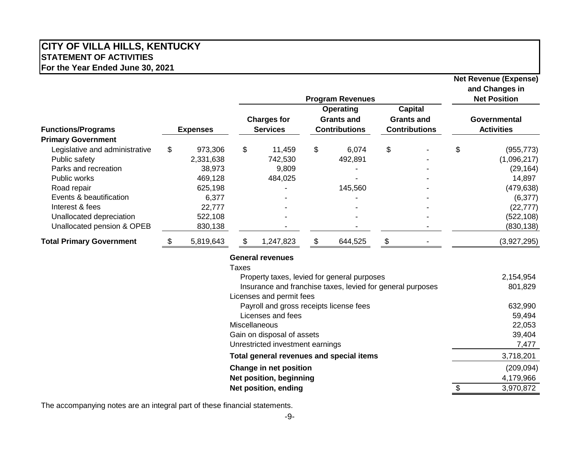## **CITY OF VILLA HILLS, KENTUCKY STATEMENT OF ACTIVITIES For the Year Ended June 30, 2021**

|                                 |                 |                                       |     | <b>Program Revenues</b>                                |                                                             | <b>Net Revenue (Expense)</b><br>and Changes in<br><b>Net Position</b> |
|---------------------------------|-----------------|---------------------------------------|-----|--------------------------------------------------------|-------------------------------------------------------------|-----------------------------------------------------------------------|
| <b>Functions/Programs</b>       | <b>Expenses</b> | <b>Charges for</b><br><b>Services</b> |     | Operating<br><b>Grants and</b><br><b>Contributions</b> | <b>Capital</b><br><b>Grants and</b><br><b>Contributions</b> | <b>Governmental</b><br><b>Activities</b>                              |
| <b>Primary Government</b>       |                 |                                       |     |                                                        |                                                             |                                                                       |
| Legislative and administrative  | \$<br>973,306   | \$<br>11,459                          | \$  | 6,074                                                  | \$                                                          | \$<br>(955, 773)                                                      |
| Public safety                   | 2,331,638       | 742,530                               |     | 492,891                                                |                                                             | (1,096,217)                                                           |
| Parks and recreation            | 38,973          | 9,809                                 |     |                                                        |                                                             | (29, 164)                                                             |
| Public works                    | 469,128         | 484,025                               |     |                                                        |                                                             | 14,897                                                                |
| Road repair                     | 625,198         |                                       |     | 145,560                                                |                                                             | (479,638)                                                             |
| Events & beautification         | 6,377           |                                       |     |                                                        |                                                             | (6, 377)                                                              |
| Interest & fees                 | 22,777          |                                       |     |                                                        |                                                             | (22, 777)                                                             |
| Unallocated depreciation        | 522,108         |                                       |     |                                                        |                                                             | (522, 108)                                                            |
| Unallocated pension & OPEB      | 830,138         |                                       |     |                                                        |                                                             | (830, 138)                                                            |
| <b>Total Primary Government</b> | \$<br>5,819,643 | \$<br>1,247,823                       | \$. | 644,525                                                | \$                                                          | (3,927,295)                                                           |

#### **General revenues**

| <b>Taxes</b>                                               |            |
|------------------------------------------------------------|------------|
| Property taxes, levied for general purposes                | 2,154,954  |
| Insurance and franchise taxes, levied for general purposes | 801,829    |
| Licenses and permit fees                                   |            |
| Payroll and gross receipts license fees                    | 632,990    |
| Licenses and fees                                          | 59,494     |
| Miscellaneous                                              | 22,053     |
| Gain on disposal of assets                                 | 39,404     |
| Unrestricted investment earnings                           | 7,477      |
| Total general revenues and special items                   | 3,718,201  |
| Change in net position                                     | (209, 094) |
| Net position, beginning                                    | 4,179,966  |
| Net position, ending                                       | 3,970,872  |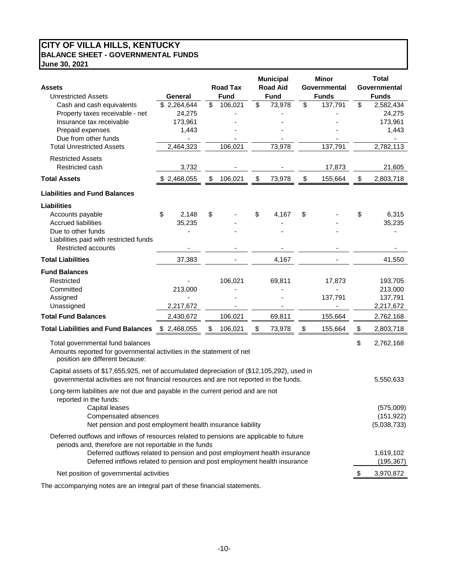#### **CITY OF VILLA HILLS, KENTUCKY BALANCE SHEET - GOVERNMENTAL FUNDS June 30, 2021**

| \$<br>\$<br>\$<br>\$2,264,644<br>106,021<br>\$<br>Cash and cash equivalents<br>73,978<br>137,791<br>2,582,434<br>Property taxes receivable - net<br>24,275<br>24,275<br>Insurance tax receivable<br>173,961<br>173,961<br>Prepaid expenses<br>1,443<br>1,443<br>Due from other funds<br><b>Total Unrestricted Assets</b><br>106,021<br>73,978<br>2,464,323<br>137,791<br>2,782,113<br><b>Restricted Assets</b><br>3,732<br>17,873<br>Restricted cash<br>21,605<br>\$<br>\$<br>\$<br>\$<br><b>Total Assets</b><br>\$2,468,055<br>106,021<br>73,978<br>2,803,718<br>155,664<br><b>Liabilities and Fund Balances</b><br><b>Liabilities</b><br>\$<br>\$<br>\$<br>\$<br>\$<br>2,148<br>4,167<br>6,315<br>Accounts payable<br><b>Accrued liabilities</b><br>35,235<br>35,235<br>Due to other funds<br>Liabilities paid with restricted funds<br><b>Restricted accounts</b><br><b>Total Liabilities</b><br>37,383<br>4,167<br>41,550<br><b>Fund Balances</b><br>106,021<br>17,873<br>Restricted<br>69,811<br>193,705<br>Committed<br>213,000<br>213,000<br>137,791<br>Assigned<br>137,791<br>Unassigned<br>2,217,672<br>2,217,672<br><b>Total Fund Balances</b><br>106,021<br>69,811<br>155,664<br>2,430,672<br>2,762,168<br>\$<br>\$<br>\$<br><b>Total Liabilities and Fund Balances</b><br>106,021<br>\$<br>155,664<br>\$2,468,055<br>73,978<br>2,803,718<br>Total governmental fund balances<br>\$<br>2,762,168<br>Amounts reported for governmental activities in the statement of net<br>position are different because:<br>Capital assets of \$17,655,925, net of accumulated depreciation of (\$12,105,292), used in<br>governmental activities are not financial resources and are not reported in the funds.<br>5,550,633<br>Long-term liabilities are not due and payable in the current period and are not<br>reported in the funds:<br>Capital leases<br>(575,009)<br>Compensated absences<br>(151, 922)<br>Net pension and post employment health insurance liability<br>(5,038,733)<br>Deferred outflows and inflows of resources related to pensions are applicable to future<br>periods and, therefore are not reportable in the funds<br>Deferred outflows related to pension and post employment health insurance<br>1,619,102<br>Deferred intflows related to pension and post employment health insurance<br>(195, 367)<br>Net position of governmental activities<br>3,970,872<br>\$ | <b>Assets</b><br><b>Unrestricted Assets</b> |  | General |  | <b>Road Tax</b><br><b>Fund</b> |  | <b>Municipal</b><br><b>Road Aid</b><br><b>Fund</b> | <b>Minor</b><br>Governmental<br><b>Funds</b> | <b>Total</b><br>Governmental<br><b>Funds</b> |
|----------------------------------------------------------------------------------------------------------------------------------------------------------------------------------------------------------------------------------------------------------------------------------------------------------------------------------------------------------------------------------------------------------------------------------------------------------------------------------------------------------------------------------------------------------------------------------------------------------------------------------------------------------------------------------------------------------------------------------------------------------------------------------------------------------------------------------------------------------------------------------------------------------------------------------------------------------------------------------------------------------------------------------------------------------------------------------------------------------------------------------------------------------------------------------------------------------------------------------------------------------------------------------------------------------------------------------------------------------------------------------------------------------------------------------------------------------------------------------------------------------------------------------------------------------------------------------------------------------------------------------------------------------------------------------------------------------------------------------------------------------------------------------------------------------------------------------------------------------------------------------------------------------------------------------------------------------------------------------------------------------------------------------------------------------------------------------------------------------------------------------------------------------------------------------------------------------------------------------------------------------------------------------------------------------------------------------------------------------------------------------------------------|---------------------------------------------|--|---------|--|--------------------------------|--|----------------------------------------------------|----------------------------------------------|----------------------------------------------|
|                                                                                                                                                                                                                                                                                                                                                                                                                                                                                                                                                                                                                                                                                                                                                                                                                                                                                                                                                                                                                                                                                                                                                                                                                                                                                                                                                                                                                                                                                                                                                                                                                                                                                                                                                                                                                                                                                                                                                                                                                                                                                                                                                                                                                                                                                                                                                                                                    |                                             |  |         |  |                                |  |                                                    |                                              |                                              |
|                                                                                                                                                                                                                                                                                                                                                                                                                                                                                                                                                                                                                                                                                                                                                                                                                                                                                                                                                                                                                                                                                                                                                                                                                                                                                                                                                                                                                                                                                                                                                                                                                                                                                                                                                                                                                                                                                                                                                                                                                                                                                                                                                                                                                                                                                                                                                                                                    |                                             |  |         |  |                                |  |                                                    |                                              |                                              |
|                                                                                                                                                                                                                                                                                                                                                                                                                                                                                                                                                                                                                                                                                                                                                                                                                                                                                                                                                                                                                                                                                                                                                                                                                                                                                                                                                                                                                                                                                                                                                                                                                                                                                                                                                                                                                                                                                                                                                                                                                                                                                                                                                                                                                                                                                                                                                                                                    |                                             |  |         |  |                                |  |                                                    |                                              |                                              |
|                                                                                                                                                                                                                                                                                                                                                                                                                                                                                                                                                                                                                                                                                                                                                                                                                                                                                                                                                                                                                                                                                                                                                                                                                                                                                                                                                                                                                                                                                                                                                                                                                                                                                                                                                                                                                                                                                                                                                                                                                                                                                                                                                                                                                                                                                                                                                                                                    |                                             |  |         |  |                                |  |                                                    |                                              |                                              |
|                                                                                                                                                                                                                                                                                                                                                                                                                                                                                                                                                                                                                                                                                                                                                                                                                                                                                                                                                                                                                                                                                                                                                                                                                                                                                                                                                                                                                                                                                                                                                                                                                                                                                                                                                                                                                                                                                                                                                                                                                                                                                                                                                                                                                                                                                                                                                                                                    |                                             |  |         |  |                                |  |                                                    |                                              |                                              |
|                                                                                                                                                                                                                                                                                                                                                                                                                                                                                                                                                                                                                                                                                                                                                                                                                                                                                                                                                                                                                                                                                                                                                                                                                                                                                                                                                                                                                                                                                                                                                                                                                                                                                                                                                                                                                                                                                                                                                                                                                                                                                                                                                                                                                                                                                                                                                                                                    |                                             |  |         |  |                                |  |                                                    |                                              |                                              |
|                                                                                                                                                                                                                                                                                                                                                                                                                                                                                                                                                                                                                                                                                                                                                                                                                                                                                                                                                                                                                                                                                                                                                                                                                                                                                                                                                                                                                                                                                                                                                                                                                                                                                                                                                                                                                                                                                                                                                                                                                                                                                                                                                                                                                                                                                                                                                                                                    |                                             |  |         |  |                                |  |                                                    |                                              |                                              |
|                                                                                                                                                                                                                                                                                                                                                                                                                                                                                                                                                                                                                                                                                                                                                                                                                                                                                                                                                                                                                                                                                                                                                                                                                                                                                                                                                                                                                                                                                                                                                                                                                                                                                                                                                                                                                                                                                                                                                                                                                                                                                                                                                                                                                                                                                                                                                                                                    |                                             |  |         |  |                                |  |                                                    |                                              |                                              |
|                                                                                                                                                                                                                                                                                                                                                                                                                                                                                                                                                                                                                                                                                                                                                                                                                                                                                                                                                                                                                                                                                                                                                                                                                                                                                                                                                                                                                                                                                                                                                                                                                                                                                                                                                                                                                                                                                                                                                                                                                                                                                                                                                                                                                                                                                                                                                                                                    |                                             |  |         |  |                                |  |                                                    |                                              |                                              |
|                                                                                                                                                                                                                                                                                                                                                                                                                                                                                                                                                                                                                                                                                                                                                                                                                                                                                                                                                                                                                                                                                                                                                                                                                                                                                                                                                                                                                                                                                                                                                                                                                                                                                                                                                                                                                                                                                                                                                                                                                                                                                                                                                                                                                                                                                                                                                                                                    |                                             |  |         |  |                                |  |                                                    |                                              |                                              |
|                                                                                                                                                                                                                                                                                                                                                                                                                                                                                                                                                                                                                                                                                                                                                                                                                                                                                                                                                                                                                                                                                                                                                                                                                                                                                                                                                                                                                                                                                                                                                                                                                                                                                                                                                                                                                                                                                                                                                                                                                                                                                                                                                                                                                                                                                                                                                                                                    |                                             |  |         |  |                                |  |                                                    |                                              |                                              |
|                                                                                                                                                                                                                                                                                                                                                                                                                                                                                                                                                                                                                                                                                                                                                                                                                                                                                                                                                                                                                                                                                                                                                                                                                                                                                                                                                                                                                                                                                                                                                                                                                                                                                                                                                                                                                                                                                                                                                                                                                                                                                                                                                                                                                                                                                                                                                                                                    |                                             |  |         |  |                                |  |                                                    |                                              |                                              |
|                                                                                                                                                                                                                                                                                                                                                                                                                                                                                                                                                                                                                                                                                                                                                                                                                                                                                                                                                                                                                                                                                                                                                                                                                                                                                                                                                                                                                                                                                                                                                                                                                                                                                                                                                                                                                                                                                                                                                                                                                                                                                                                                                                                                                                                                                                                                                                                                    |                                             |  |         |  |                                |  |                                                    |                                              |                                              |
|                                                                                                                                                                                                                                                                                                                                                                                                                                                                                                                                                                                                                                                                                                                                                                                                                                                                                                                                                                                                                                                                                                                                                                                                                                                                                                                                                                                                                                                                                                                                                                                                                                                                                                                                                                                                                                                                                                                                                                                                                                                                                                                                                                                                                                                                                                                                                                                                    |                                             |  |         |  |                                |  |                                                    |                                              |                                              |
|                                                                                                                                                                                                                                                                                                                                                                                                                                                                                                                                                                                                                                                                                                                                                                                                                                                                                                                                                                                                                                                                                                                                                                                                                                                                                                                                                                                                                                                                                                                                                                                                                                                                                                                                                                                                                                                                                                                                                                                                                                                                                                                                                                                                                                                                                                                                                                                                    |                                             |  |         |  |                                |  |                                                    |                                              |                                              |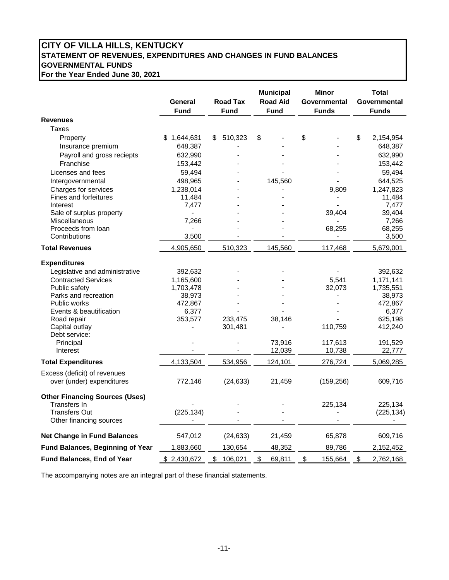## **CITY OF VILLA HILLS, KENTUCKY STATEMENT OF REVENUES, EXPENDITURES AND CHANGES IN FUND BALANCES GOVERNMENTAL FUNDS For the Year Ended June 30, 2021**

|                                                           | <b>General</b><br>Fund | <b>Municipal</b><br>Minor<br><b>Road Aid</b><br><b>Road Tax</b><br><b>Governmental</b><br>Fund<br><b>Fund</b><br><b>Funds</b> |                  | <b>Total</b><br>Governmental<br><b>Funds</b> |                   |  |
|-----------------------------------------------------------|------------------------|-------------------------------------------------------------------------------------------------------------------------------|------------------|----------------------------------------------|-------------------|--|
| <b>Revenues</b>                                           |                        |                                                                                                                               |                  |                                              |                   |  |
| <b>Taxes</b>                                              |                        |                                                                                                                               |                  |                                              |                   |  |
| Property                                                  | \$1,644,631            | 510,323<br>\$                                                                                                                 | \$               | \$                                           | \$<br>2,154,954   |  |
| Insurance premium                                         | 648,387                |                                                                                                                               |                  |                                              | 648,387           |  |
| Payroll and gross reciepts                                | 632,990                |                                                                                                                               |                  |                                              | 632,990           |  |
| Franchise                                                 | 153,442                |                                                                                                                               |                  |                                              | 153,442           |  |
| Licenses and fees                                         | 59,494                 |                                                                                                                               |                  |                                              | 59,494            |  |
| Intergovernmental                                         | 498,965                |                                                                                                                               | 145,560          |                                              | 644,525           |  |
| Charges for services                                      | 1,238,014              |                                                                                                                               |                  | 9,809                                        | 1,247,823         |  |
| Fines and forfeitures                                     | 11,484                 |                                                                                                                               |                  |                                              | 11,484            |  |
| Interest                                                  | 7,477                  |                                                                                                                               |                  |                                              | 7,477             |  |
| Sale of surplus property                                  |                        |                                                                                                                               |                  | 39,404                                       | 39,404            |  |
| <b>Miscellaneous</b>                                      | 7,266                  |                                                                                                                               |                  |                                              | 7,266             |  |
| Proceeds from loan                                        |                        |                                                                                                                               |                  | 68,255                                       | 68,255            |  |
| Contributions                                             | 3,500                  |                                                                                                                               |                  |                                              | 3,500             |  |
| <b>Total Revenues</b>                                     | 4,905,650              | 510,323                                                                                                                       | 145,560          | 117,468                                      | 5,679,001         |  |
| <b>Expenditures</b>                                       |                        |                                                                                                                               |                  |                                              |                   |  |
| Legislative and administrative                            | 392,632                |                                                                                                                               |                  |                                              | 392,632           |  |
| <b>Contracted Services</b>                                | 1,165,600              |                                                                                                                               |                  | 5,541                                        | 1,171,141         |  |
| Public safety                                             | 1,703,478              |                                                                                                                               |                  | 32,073                                       | 1,735,551         |  |
| Parks and recreation                                      | 38,973                 |                                                                                                                               |                  |                                              | 38,973            |  |
| <b>Public works</b>                                       | 472,867                |                                                                                                                               |                  |                                              | 472,867           |  |
| Events & beautification                                   | 6,377                  |                                                                                                                               |                  |                                              | 6,377             |  |
| Road repair                                               | 353,577                | 233,475                                                                                                                       | 38,146           |                                              | 625,198           |  |
| Capital outlay                                            |                        | 301,481                                                                                                                       |                  | 110,759                                      | 412,240           |  |
| Debt service:                                             |                        |                                                                                                                               |                  |                                              |                   |  |
| Principal<br>Interest                                     |                        |                                                                                                                               | 73,916<br>12,039 | 117,613<br>10,738                            | 191,529<br>22,777 |  |
| <b>Total Expenditures</b>                                 | 4,133,504              | 534,956                                                                                                                       | 124,101          | 276,724                                      | 5,069,285         |  |
|                                                           |                        |                                                                                                                               |                  |                                              |                   |  |
| Excess (deficit) of revenues<br>over (under) expenditures | 772,146                | (24, 633)                                                                                                                     | 21,459           | (159, 256)                                   | 609,716           |  |
| <b>Other Financing Sources (Uses)</b>                     |                        |                                                                                                                               |                  |                                              |                   |  |
| Transfers In                                              |                        |                                                                                                                               |                  | 225,134                                      | 225,134           |  |
| <b>Transfers Out</b>                                      | (225, 134)             |                                                                                                                               |                  |                                              | (225, 134)        |  |
| Other financing sources                                   |                        |                                                                                                                               |                  |                                              |                   |  |
| <b>Net Change in Fund Balances</b>                        | 547,012                | (24, 633)                                                                                                                     | 21,459           | 65,878                                       | 609,716           |  |
| <b>Fund Balances, Beginning of Year</b>                   | 1,883,660              | 130,654                                                                                                                       | 48,352           | 89,786                                       | 2,152,452         |  |
| Fund Balances, End of Year                                | 2,430,672              | 106,021                                                                                                                       | 69,811           | \$<br>155,664                                | 2,762,168<br>\$   |  |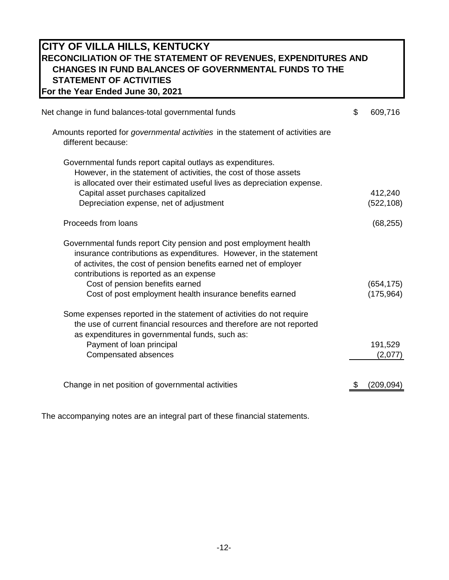## **CITY OF VILLA HILLS, KENTUCKY RECONCILIATION OF THE STATEMENT OF REVENUES, EXPENDITURES AND CHANGES IN FUND BALANCES OF GOVERNMENTAL FUNDS TO THE STATEMENT OF ACTIVITIES For the Year Ended June 30, 2021**

| Net change in fund balances-total governmental funds                                                                                                                                                                                                    | \$<br>609,716 |
|---------------------------------------------------------------------------------------------------------------------------------------------------------------------------------------------------------------------------------------------------------|---------------|
| Amounts reported for <i>governmental activities</i> in the statement of activities are<br>different because:                                                                                                                                            |               |
| Governmental funds report capital outlays as expenditures.<br>However, in the statement of activities, the cost of those assets<br>is allocated over their estimated useful lives as depreciation expense.                                              |               |
| Capital asset purchases capitalized                                                                                                                                                                                                                     | 412,240       |
| Depreciation expense, net of adjustment                                                                                                                                                                                                                 | (522, 108)    |
| Proceeds from loans                                                                                                                                                                                                                                     | (68, 255)     |
| Governmental funds report City pension and post employment health<br>insurance contributions as expenditures. However, in the statement<br>of activites, the cost of pension benefits earned net of employer<br>contributions is reported as an expense |               |
| Cost of pension benefits earned                                                                                                                                                                                                                         | (654, 175)    |
| Cost of post employment health insurance benefits earned                                                                                                                                                                                                | (175, 964)    |
| Some expenses reported in the statement of activities do not require<br>the use of current financial resources and therefore are not reported<br>as expenditures in governmental funds, such as:                                                        |               |
| Payment of loan principal                                                                                                                                                                                                                               | 191,529       |
| Compensated absences                                                                                                                                                                                                                                    | (2,077)       |
|                                                                                                                                                                                                                                                         |               |
| Change in net position of governmental activities                                                                                                                                                                                                       | (209,094)     |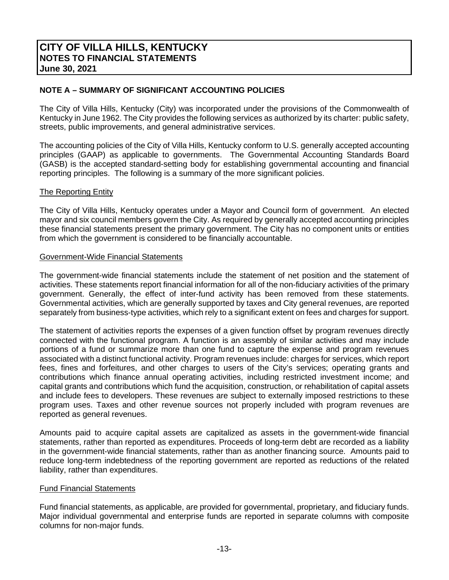### **NOTE A – SUMMARY OF SIGNIFICANT ACCOUNTING POLICIES**

The City of Villa Hills, Kentucky (City) was incorporated under the provisions of the Commonwealth of Kentucky in June 1962. The City provides the following services as authorized by its charter: public safety, streets, public improvements, and general administrative services.

The accounting policies of the City of Villa Hills, Kentucky conform to U.S. generally accepted accounting principles (GAAP) as applicable to governments. The Governmental Accounting Standards Board (GASB) is the accepted standard-setting body for establishing governmental accounting and financial reporting principles. The following is a summary of the more significant policies.

#### The Reporting Entity

The City of Villa Hills, Kentucky operates under a Mayor and Council form of government. An elected mayor and six council members govern the City. As required by generally accepted accounting principles these financial statements present the primary government. The City has no component units or entities from which the government is considered to be financially accountable.

#### Government-Wide Financial Statements

The government-wide financial statements include the statement of net position and the statement of activities. These statements report financial information for all of the non-fiduciary activities of the primary government. Generally, the effect of inter-fund activity has been removed from these statements. Governmental activities, which are generally supported by taxes and City general revenues, are reported separately from business-type activities, which rely to a significant extent on fees and charges for support.

The statement of activities reports the expenses of a given function offset by program revenues directly connected with the functional program. A function is an assembly of similar activities and may include portions of a fund or summarize more than one fund to capture the expense and program revenues associated with a distinct functional activity. Program revenues include: charges for services, which report fees, fines and forfeitures, and other charges to users of the City's services; operating grants and contributions which finance annual operating activities, including restricted investment income; and capital grants and contributions which fund the acquisition, construction, or rehabilitation of capital assets and include fees to developers. These revenues are subject to externally imposed restrictions to these program uses. Taxes and other revenue sources not properly included with program revenues are reported as general revenues.

Amounts paid to acquire capital assets are capitalized as assets in the government-wide financial statements, rather than reported as expenditures. Proceeds of long-term debt are recorded as a liability in the government-wide financial statements, rather than as another financing source. Amounts paid to reduce long-term indebtedness of the reporting government are reported as reductions of the related liability, rather than expenditures.

#### Fund Financial Statements

Fund financial statements, as applicable, are provided for governmental, proprietary, and fiduciary funds. Major individual governmental and enterprise funds are reported in separate columns with composite columns for non-major funds.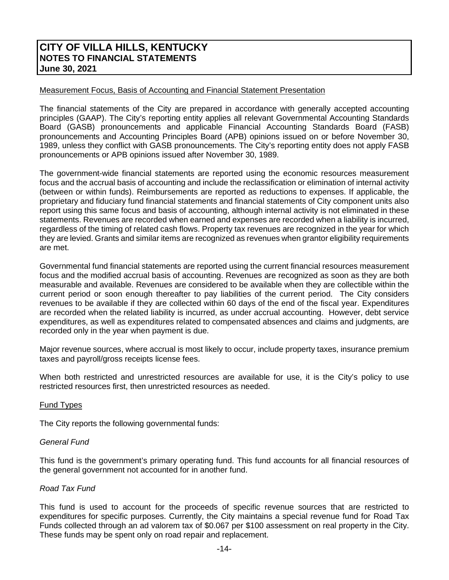#### Measurement Focus, Basis of Accounting and Financial Statement Presentation

The financial statements of the City are prepared in accordance with generally accepted accounting principles (GAAP). The City's reporting entity applies all relevant Governmental Accounting Standards Board (GASB) pronouncements and applicable Financial Accounting Standards Board (FASB) pronouncements and Accounting Principles Board (APB) opinions issued on or before November 30, 1989, unless they conflict with GASB pronouncements. The City's reporting entity does not apply FASB pronouncements or APB opinions issued after November 30, 1989.

The government-wide financial statements are reported using the economic resources measurement focus and the accrual basis of accounting and include the reclassification or elimination of internal activity (between or within funds). Reimbursements are reported as reductions to expenses. If applicable, the proprietary and fiduciary fund financial statements and financial statements of City component units also report using this same focus and basis of accounting, although internal activity is not eliminated in these statements. Revenues are recorded when earned and expenses are recorded when a liability is incurred, regardless of the timing of related cash flows. Property tax revenues are recognized in the year for which they are levied. Grants and similar items are recognized as revenues when grantor eligibility requirements are met.

Governmental fund financial statements are reported using the current financial resources measurement focus and the modified accrual basis of accounting. Revenues are recognized as soon as they are both measurable and available. Revenues are considered to be available when they are collectible within the current period or soon enough thereafter to pay liabilities of the current period. The City considers revenues to be available if they are collected within 60 days of the end of the fiscal year. Expenditures are recorded when the related liability is incurred, as under accrual accounting. However, debt service expenditures, as well as expenditures related to compensated absences and claims and judgments, are recorded only in the year when payment is due.

Major revenue sources, where accrual is most likely to occur, include property taxes, insurance premium taxes and payroll/gross receipts license fees.

When both restricted and unrestricted resources are available for use, it is the City's policy to use restricted resources first, then unrestricted resources as needed.

#### Fund Types

The City reports the following governmental funds:

#### *General Fund*

This fund is the government's primary operating fund. This fund accounts for all financial resources of the general government not accounted for in another fund.

#### *Road Tax Fund*

This fund is used to account for the proceeds of specific revenue sources that are restricted to expenditures for specific purposes. Currently, the City maintains a special revenue fund for Road Tax Funds collected through an ad valorem tax of \$0.067 per \$100 assessment on real property in the City. These funds may be spent only on road repair and replacement.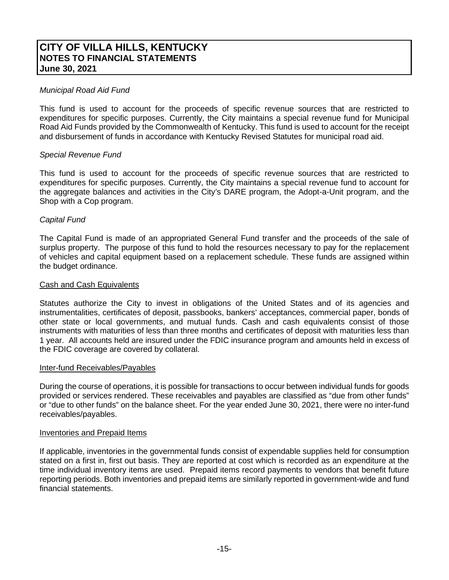#### *Municipal Road Aid Fund*

This fund is used to account for the proceeds of specific revenue sources that are restricted to expenditures for specific purposes. Currently, the City maintains a special revenue fund for Municipal Road Aid Funds provided by the Commonwealth of Kentucky. This fund is used to account for the receipt and disbursement of funds in accordance with Kentucky Revised Statutes for municipal road aid.

#### *Special Revenue Fund*

This fund is used to account for the proceeds of specific revenue sources that are restricted to expenditures for specific purposes. Currently, the City maintains a special revenue fund to account for the aggregate balances and activities in the City's DARE program, the Adopt-a-Unit program, and the Shop with a Cop program.

#### *Capital Fund*

The Capital Fund is made of an appropriated General Fund transfer and the proceeds of the sale of surplus property. The purpose of this fund to hold the resources necessary to pay for the replacement of vehicles and capital equipment based on a replacement schedule. These funds are assigned within the budget ordinance.

#### Cash and Cash Equivalents

Statutes authorize the City to invest in obligations of the United States and of its agencies and instrumentalities, certificates of deposit, passbooks, bankers' acceptances, commercial paper, bonds of other state or local governments, and mutual funds. Cash and cash equivalents consist of those instruments with maturities of less than three months and certificates of deposit with maturities less than 1 year. All accounts held are insured under the FDIC insurance program and amounts held in excess of the FDIC coverage are covered by collateral.

#### Inter-fund Receivables/Payables

During the course of operations, it is possible for transactions to occur between individual funds for goods provided or services rendered. These receivables and payables are classified as "due from other funds" or "due to other funds" on the balance sheet. For the year ended June 30, 2021, there were no inter-fund receivables/payables.

#### Inventories and Prepaid Items

If applicable, inventories in the governmental funds consist of expendable supplies held for consumption stated on a first in, first out basis. They are reported at cost which is recorded as an expenditure at the time individual inventory items are used. Prepaid items record payments to vendors that benefit future reporting periods. Both inventories and prepaid items are similarly reported in government-wide and fund financial statements.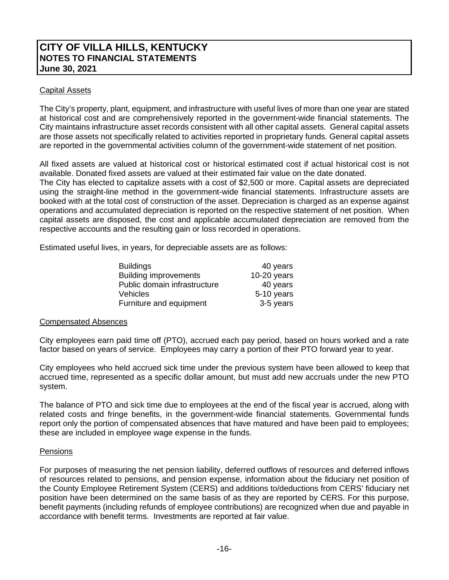## Capital Assets

The City's property, plant, equipment, and infrastructure with useful lives of more than one year are stated at historical cost and are comprehensively reported in the government-wide financial statements. The City maintains infrastructure asset records consistent with all other capital assets. General capital assets are those assets not specifically related to activities reported in proprietary funds. General capital assets are reported in the governmental activities column of the government-wide statement of net position.

All fixed assets are valued at historical cost or historical estimated cost if actual historical cost is not available. Donated fixed assets are valued at their estimated fair value on the date donated. The City has elected to capitalize assets with a cost of \$2,500 or more. Capital assets are depreciated using the straight-line method in the government-wide financial statements. Infrastructure assets are booked with at the total cost of construction of the asset. Depreciation is charged as an expense against operations and accumulated depreciation is reported on the respective statement of net position. When capital assets are disposed, the cost and applicable accumulated depreciation are removed from the

Estimated useful lives, in years, for depreciable assets are as follows:

respective accounts and the resulting gain or loss recorded in operations.

| <b>Buildings</b>             | 40 years      |
|------------------------------|---------------|
| <b>Building improvements</b> | $10-20$ years |
| Public domain infrastructure | 40 years      |
| <b>Vehicles</b>              | 5-10 years    |
| Furniture and equipment      | 3-5 years     |

#### Compensated Absences

City employees earn paid time off (PTO), accrued each pay period, based on hours worked and a rate factor based on years of service. Employees may carry a portion of their PTO forward year to year.

City employees who held accrued sick time under the previous system have been allowed to keep that accrued time, represented as a specific dollar amount, but must add new accruals under the new PTO system.

The balance of PTO and sick time due to employees at the end of the fiscal year is accrued, along with related costs and fringe benefits, in the government-wide financial statements. Governmental funds report only the portion of compensated absences that have matured and have been paid to employees; these are included in employee wage expense in the funds.

#### **Pensions**

For purposes of measuring the net pension liability, deferred outflows of resources and deferred inflows of resources related to pensions, and pension expense, information about the fiduciary net position of the County Employee Retirement System (CERS) and additions to/deductions from CERS' fiduciary net position have been determined on the same basis of as they are reported by CERS. For this purpose, benefit payments (including refunds of employee contributions) are recognized when due and payable in accordance with benefit terms. Investments are reported at fair value.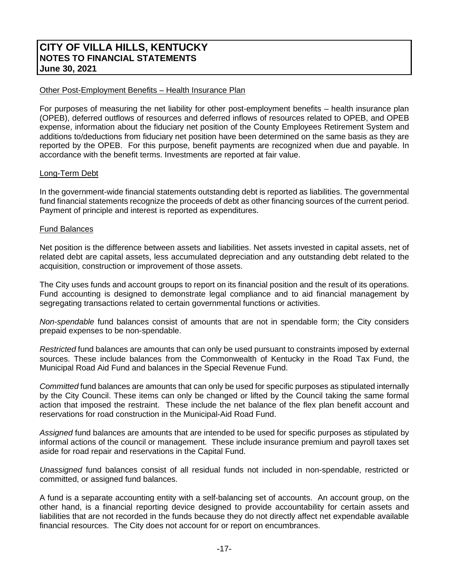#### Other Post-Employment Benefits – Health Insurance Plan

For purposes of measuring the net liability for other post-employment benefits – health insurance plan (OPEB), deferred outflows of resources and deferred inflows of resources related to OPEB, and OPEB expense, information about the fiduciary net position of the County Employees Retirement System and additions to/deductions from fiduciary net position have been determined on the same basis as they are reported by the OPEB. For this purpose, benefit payments are recognized when due and payable. In accordance with the benefit terms. Investments are reported at fair value.

#### Long-Term Debt

In the government-wide financial statements outstanding debt is reported as liabilities. The governmental fund financial statements recognize the proceeds of debt as other financing sources of the current period. Payment of principle and interest is reported as expenditures.

#### Fund Balances

Net position is the difference between assets and liabilities. Net assets invested in capital assets, net of related debt are capital assets, less accumulated depreciation and any outstanding debt related to the acquisition, construction or improvement of those assets.

The City uses funds and account groups to report on its financial position and the result of its operations. Fund accounting is designed to demonstrate legal compliance and to aid financial management by segregating transactions related to certain governmental functions or activities.

*Non-spendable* fund balances consist of amounts that are not in spendable form; the City considers prepaid expenses to be non-spendable.

*Restricted* fund balances are amounts that can only be used pursuant to constraints imposed by external sources. These include balances from the Commonwealth of Kentucky in the Road Tax Fund, the Municipal Road Aid Fund and balances in the Special Revenue Fund.

*Committed* fund balances are amounts that can only be used for specific purposes as stipulated internally by the City Council. These items can only be changed or lifted by the Council taking the same formal action that imposed the restraint. These include the net balance of the flex plan benefit account and reservations for road construction in the Municipal-Aid Road Fund.

*Assigned* fund balances are amounts that are intended to be used for specific purposes as stipulated by informal actions of the council or management. These include insurance premium and payroll taxes set aside for road repair and reservations in the Capital Fund.

*Unassigned* fund balances consist of all residual funds not included in non-spendable, restricted or committed, or assigned fund balances.

A fund is a separate accounting entity with a self-balancing set of accounts. An account group, on the other hand, is a financial reporting device designed to provide accountability for certain assets and liabilities that are not recorded in the funds because they do not directly affect net expendable available financial resources. The City does not account for or report on encumbrances.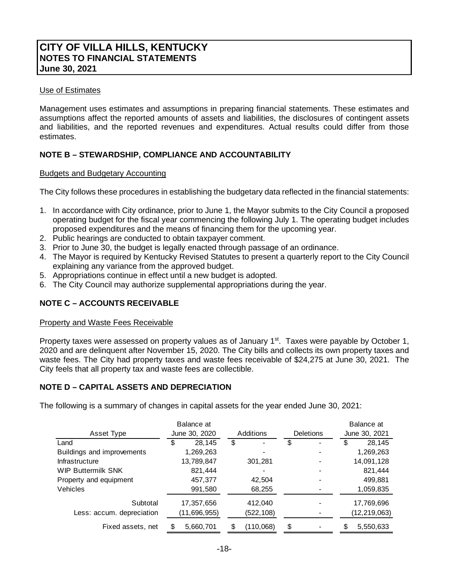#### Use of Estimates

Management uses estimates and assumptions in preparing financial statements. These estimates and assumptions affect the reported amounts of assets and liabilities, the disclosures of contingent assets and liabilities, and the reported revenues and expenditures. Actual results could differ from those estimates.

## **NOTE B – STEWARDSHIP, COMPLIANCE AND ACCOUNTABILITY**

#### Budgets and Budgetary Accounting

The City follows these procedures in establishing the budgetary data reflected in the financial statements:

- 1. In accordance with City ordinance, prior to June 1, the Mayor submits to the City Council a proposed operating budget for the fiscal year commencing the following July 1. The operating budget includes proposed expenditures and the means of financing them for the upcoming year.
- 2. Public hearings are conducted to obtain taxpayer comment.
- 3. Prior to June 30, the budget is legally enacted through passage of an ordinance.
- 4. The Mayor is required by Kentucky Revised Statutes to present a quarterly report to the City Council explaining any variance from the approved budget.
- 5. Appropriations continue in effect until a new budget is adopted.
- 6. The City Council may authorize supplemental appropriations during the year.

#### **NOTE C – ACCOUNTS RECEIVABLE**

#### Property and Waste Fees Receivable

Property taxes were assessed on property values as of January 1<sup>st</sup>. Taxes were payable by October 1, 2020 and are delinquent after November 15, 2020. The City bills and collects its own property taxes and waste fees. The City had property taxes and waste fees receivable of \$24,275 at June 30, 2021. The City feels that all property tax and waste fees are collectible.

#### **NOTE D – CAPITAL ASSETS AND DEPRECIATION**

The following is a summary of changes in capital assets for the year ended June 30, 2021:

|                            | Balance at     |                  |           | Balance at      |
|----------------------------|----------------|------------------|-----------|-----------------|
| Asset Type                 | June 30, 2020  | <b>Additions</b> | Deletions | June 30, 2021   |
| Land                       | 28,145<br>S    | \$<br>-          | \$        | 28.145          |
| Buildings and improvements | 1,269,263      |                  |           | 1,269,263       |
| Infrastructure             | 13,789,847     | 301,281          |           | 14,091,128      |
| <b>WIP Buttermilk SNK</b>  | 821,444        |                  |           | 821,444         |
| Property and equipment     | 457,377        | 42,504           |           | 499,881         |
| Vehicles                   | 991,580        | 68,255           |           | 1,059,835       |
| Subtotal                   | 17,357,656     | 412,040          |           | 17,769,696      |
| Less: accum. depreciation  | (11, 696, 955) | (522,108)        |           | (12, 219, 063)  |
| Fixed assets, net          | 5,660,701      | (110,068)        | \$        | \$<br>5,550,633 |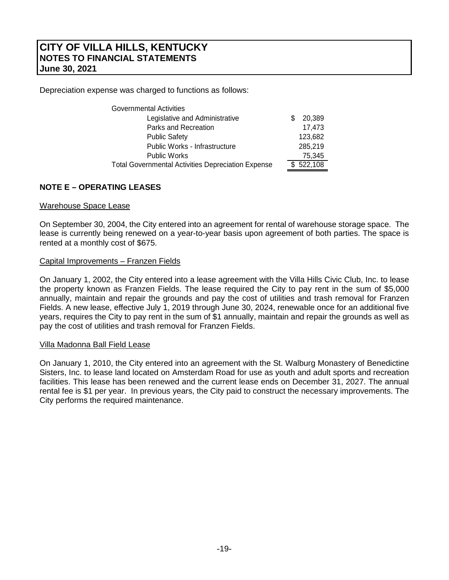Depreciation expense was charged to functions as follows:

| <b>Governmental Activities</b>                                         |  |         |  |  |
|------------------------------------------------------------------------|--|---------|--|--|
| Legislative and Administrative                                         |  | 20.389  |  |  |
| Parks and Recreation                                                   |  | 17,473  |  |  |
| <b>Public Safety</b>                                                   |  | 123,682 |  |  |
| Public Works - Infrastructure                                          |  | 285,219 |  |  |
| <b>Public Works</b>                                                    |  | 75,345  |  |  |
| \$522,108<br><b>Total Governmental Activities Depreciation Expense</b> |  |         |  |  |

#### **NOTE E – OPERATING LEASES**

#### Warehouse Space Lease

On September 30, 2004, the City entered into an agreement for rental of warehouse storage space. The lease is currently being renewed on a year-to-year basis upon agreement of both parties. The space is rented at a monthly cost of \$675.

#### Capital Improvements – Franzen Fields

On January 1, 2002, the City entered into a lease agreement with the Villa Hills Civic Club, Inc. to lease the property known as Franzen Fields. The lease required the City to pay rent in the sum of \$5,000 annually, maintain and repair the grounds and pay the cost of utilities and trash removal for Franzen Fields. A new lease, effective July 1, 2019 through June 30, 2024, renewable once for an additional five years, requires the City to pay rent in the sum of \$1 annually, maintain and repair the grounds as well as pay the cost of utilities and trash removal for Franzen Fields.

#### Villa Madonna Ball Field Lease

On January 1, 2010, the City entered into an agreement with the St. Walburg Monastery of Benedictine Sisters, Inc. to lease land located on Amsterdam Road for use as youth and adult sports and recreation facilities. This lease has been renewed and the current lease ends on December 31, 2027. The annual rental fee is \$1 per year. In previous years, the City paid to construct the necessary improvements. The City performs the required maintenance.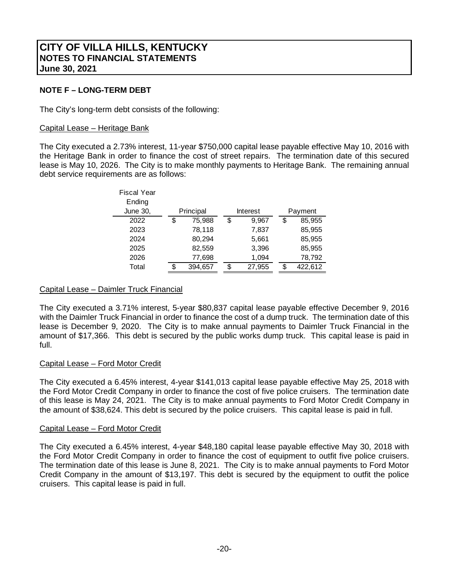### **NOTE F – LONG-TERM DEBT**

The City's long-term debt consists of the following:

#### Capital Lease – Heritage Bank

The City executed a 2.73% interest, 11-year \$750,000 capital lease payable effective May 10, 2016 with the Heritage Bank in order to finance the cost of street repairs. The termination date of this secured lease is May 10, 2026. The City is to make monthly payments to Heritage Bank. The remaining annual debt service requirements are as follows:

| <b>Fiscal Year</b> |    |           |    |          |               |
|--------------------|----|-----------|----|----------|---------------|
| Ending             |    |           |    |          |               |
| June 30,           |    | Principal |    | Interest | Payment       |
| 2022               | S  | 75,988    | S  | 9,967    | \$<br>85,955  |
| 2023               |    | 78,118    |    | 7,837    | 85,955        |
| 2024               |    | 80,294    |    | 5,661    | 85,955        |
| 2025               |    | 82,559    |    | 3,396    | 85,955        |
| 2026               |    | 77,698    |    | 1,094    | 78,792        |
| Total              | S. | 394.657   | S. | 27,955   | \$<br>422,612 |

#### Capital Lease – Daimler Truck Financial

The City executed a 3.71% interest, 5-year \$80,837 capital lease payable effective December 9, 2016 with the Daimler Truck Financial in order to finance the cost of a dump truck. The termination date of this lease is December 9, 2020. The City is to make annual payments to Daimler Truck Financial in the amount of \$17,366. This debt is secured by the public works dump truck. This capital lease is paid in full.

#### Capital Lease – Ford Motor Credit

The City executed a 6.45% interest, 4-year \$141,013 capital lease payable effective May 25, 2018 with the Ford Motor Credit Company in order to finance the cost of five police cruisers. The termination date of this lease is May 24, 2021. The City is to make annual payments to Ford Motor Credit Company in the amount of \$38,624. This debt is secured by the police cruisers. This capital lease is paid in full.

#### Capital Lease – Ford Motor Credit

The City executed a 6.45% interest, 4-year \$48,180 capital lease payable effective May 30, 2018 with the Ford Motor Credit Company in order to finance the cost of equipment to outfit five police cruisers. The termination date of this lease is June 8, 2021. The City is to make annual payments to Ford Motor Credit Company in the amount of \$13,197. This debt is secured by the equipment to outfit the police cruisers. This capital lease is paid in full.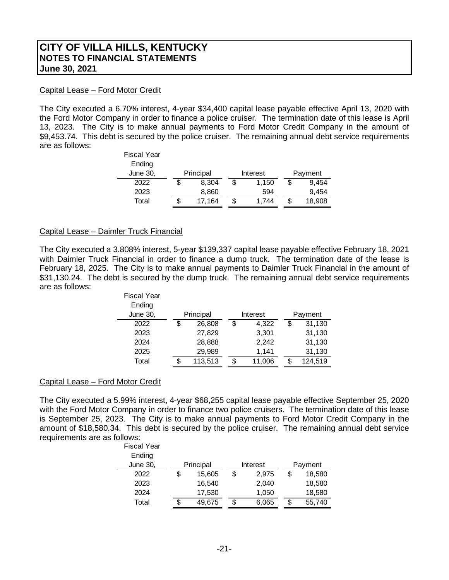#### Capital Lease – Ford Motor Credit

The City executed a 6.70% interest, 4-year \$34,400 capital lease payable effective April 13, 2020 with the Ford Motor Company in order to finance a police cruiser. The termination date of this lease is April 13, 2023. The City is to make annual payments to Ford Motor Credit Company in the amount of \$9,453.74. This debt is secured by the police cruiser. The remaining annual debt service requirements are as follows:

| <b>Fiscal Year</b> |           |          |   |         |
|--------------------|-----------|----------|---|---------|
| Ending             |           |          |   |         |
| June 30,           | Principal | Interest |   | Payment |
| 2022               | 8,304     | 1,150    | S | 9,454   |
| 2023               | 8,860     | 594      |   | 9,454   |
| Total              | 17,164    | 1.744    |   | 18,908  |

#### Capital Lease – Daimler Truck Financial

The City executed a 3.808% interest, 5-year \$139,337 capital lease payable effective February 18, 2021 with Daimler Truck Financial in order to finance a dump truck. The termination date of the lease is February 18, 2025. The City is to make annual payments to Daimler Truck Financial in the amount of \$31,130.24. The debt is secured by the dump truck. The remaining annual debt service requirements are as follows:

| <b>Fiscal Year</b> |   |           |    |          |    |         |
|--------------------|---|-----------|----|----------|----|---------|
| Ending             |   |           |    |          |    |         |
| <b>June 30,</b>    |   | Principal |    | Interest |    | Payment |
| 2022               | S | 26,808    | S  | 4,322    | \$ | 31,130  |
| 2023               |   | 27,829    |    | 3,301    |    | 31,130  |
| 2024               |   | 28,888    |    | 2,242    |    | 31,130  |
| 2025               |   | 29,989    |    | 1,141    |    | 31,130  |
| Total              | S | 113,513   | \$ | 11,006   | S. | 124,519 |

#### Capital Lease – Ford Motor Credit

The City executed a 5.99% interest, 4-year \$68,255 capital lease payable effective September 25, 2020 with the Ford Motor Company in order to finance two police cruisers. The termination date of this lease is September 25, 2023. The City is to make annual payments to Ford Motor Credit Company in the amount of \$18,580.34. This debt is secured by the police cruiser. The remaining annual debt service requirements are as follows:

| <b>Fiscal Year</b> |   |           |   |          |   |         |
|--------------------|---|-----------|---|----------|---|---------|
| Ending             |   |           |   |          |   |         |
| June 30,           |   | Principal |   | Interest |   | Payment |
| 2022               | S | 15,605    | S | 2,975    | S | 18.580  |
| 2023               |   | 16,540    |   | 2,040    |   | 18,580  |
| 2024               |   | 17,530    |   | 1,050    |   | 18,580  |
| Total              |   | 49,675    |   | 6,065    | S | 55,740  |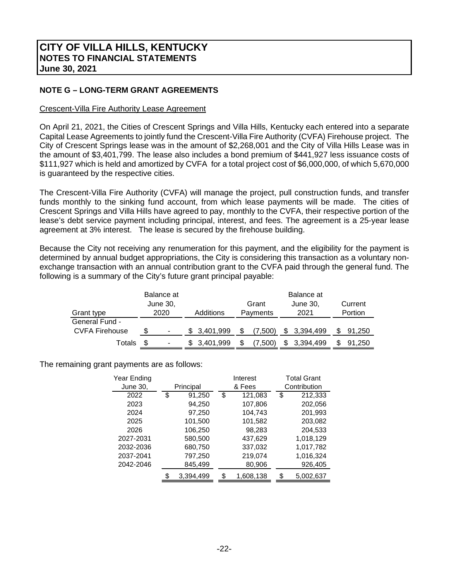## **NOTE G – LONG-TERM GRANT AGREEMENTS**

#### Crescent-Villa Fire Authority Lease Agreement

On April 21, 2021, the Cities of Crescent Springs and Villa Hills, Kentucky each entered into a separate Capital Lease Agreements to jointly fund the Crescent-Villa Fire Authority (CVFA) Firehouse project. The City of Crescent Springs lease was in the amount of \$2,268,001 and the City of Villa Hills Lease was in the amount of \$3,401,799. The lease also includes a bond premium of \$441,927 less issuance costs of \$111,927 which is held and amortized by CVFA for a total project cost of \$6,000,000, of which 5,670,000 is guaranteed by the respective cities.

The Crescent-Villa Fire Authority (CVFA) will manage the project, pull construction funds, and transfer funds monthly to the sinking fund account, from which lease payments will be made. The cities of Crescent Springs and Villa Hills have agreed to pay, monthly to the CVFA, their respective portion of the lease's debt service payment including principal, interest, and fees. The agreement is a 25-year lease agreement at 3% interest. The lease is secured by the firehouse building.

Because the City not receiving any renumeration for this payment, and the eligibility for the payment is determined by annual budget appropriations, the City is considering this transaction as a voluntary nonexchange transaction with an annual contribution grant to the CVFA paid through the general fund. The following is a summary of the City's future grant principal payable:

|                       | Balance at |              |     |          | Balance at      |         |
|-----------------------|------------|--------------|-----|----------|-----------------|---------|
|                       | June 30,   |              |     | Grant    | June 30,        | Current |
| Grant type            | 2020       | Additions    |     | Payments | 2021            | Portion |
| <b>General Fund -</b> |            |              |     |          |                 |         |
| <b>CVFA Firehouse</b> | ۰.         | \$ 3,401,999 | \$. | (7,500)  | \$<br>3,394,499 | 91,250  |
| Totals                |            | 3,401,999    | \$. | (7.500)  | 3.394.499       | 91.250  |

The remaining grant payments are as follows:

| Year Ending |                 | Interest        | <b>Total Grant</b> |
|-------------|-----------------|-----------------|--------------------|
| June 30,    | Principal       | & Fees          | Contribution       |
| 2022        | \$<br>91,250    | \$<br>121,083   | \$<br>212,333      |
| 2023        | 94,250          | 107,806         | 202,056            |
| 2024        | 97,250          | 104,743         | 201,993            |
| 2025        | 101,500         | 101,582         | 203,082            |
| 2026        | 106,250         | 98,283          | 204,533            |
| 2027-2031   | 580,500         | 437,629         | 1,018,129          |
| 2032-2036   | 680,750         | 337,032         | 1,017,782          |
| 2037-2041   | 797,250         | 219,074         | 1,016,324          |
| 2042-2046   | 845,499         | 80,906          | 926,405            |
|             | \$<br>3.394.499 | \$<br>1,608,138 | \$<br>5,002,637    |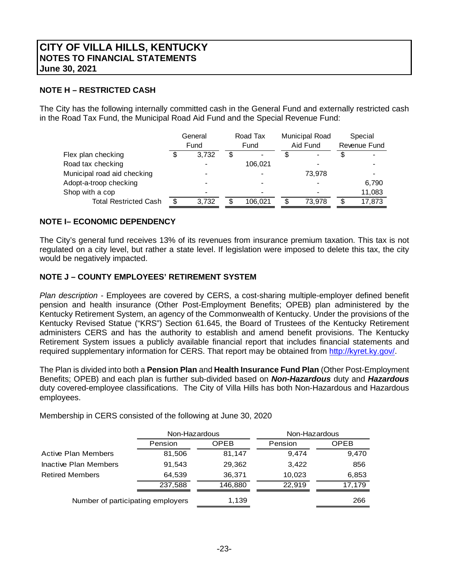### **NOTE H – RESTRICTED CASH**

The City has the following internally committed cash in the General Fund and externally restricted cash in the Road Tax Fund, the Municipal Road Aid Fund and the Special Revenue Fund:

|                              | General<br>Fund |       | Road Tax<br>Fund |         | <b>Municipal Road</b><br>Aid Fund |        |   | Special<br>Revenue Fund |
|------------------------------|-----------------|-------|------------------|---------|-----------------------------------|--------|---|-------------------------|
| Flex plan checking           |                 | 3.732 | S                |         |                                   |        |   |                         |
| Road tax checking            |                 |       |                  | 106.021 |                                   |        |   |                         |
| Municipal road aid checking  |                 |       |                  |         |                                   | 73.978 |   |                         |
| Adopt-a-troop checking       |                 |       |                  |         |                                   |        |   | 6,790                   |
| Shop with a cop              |                 |       |                  |         |                                   |        |   | 11,083                  |
| <b>Total Restricted Cash</b> | S               | 3.732 |                  | 106.021 |                                   | 73.978 | S | 17,873                  |

## **NOTE I– ECONOMIC DEPENDENCY**

The City's general fund receives 13% of its revenues from insurance premium taxation. This tax is not regulated on a city level, but rather a state level. If legislation were imposed to delete this tax, the city would be negatively impacted.

## **NOTE J – COUNTY EMPLOYEES' RETIREMENT SYSTEM**

*Plan description -* Employees are covered by CERS, a cost-sharing multiple-employer defined benefit pension and health insurance (Other Post-Employment Benefits; OPEB) plan administered by the Kentucky Retirement System, an agency of the Commonwealth of Kentucky. Under the provisions of the Kentucky Revised Statue ("KRS") Section 61.645, the Board of Trustees of the Kentucky Retirement administers CERS and has the authority to establish and amend benefit provisions. The Kentucky Retirement System issues a publicly available financial report that includes financial statements and required supplementary information for CERS. That report may be obtained from http://kyret.ky.gov/.

The Plan is divided into both a **Pension Plan** and **Health Insurance Fund Plan** (Other Post-Employment Benefits; OPEB) and each plan is further sub-divided based on *Non-Hazardous* duty and *Hazardous* duty covered-employee classifications. The City of Villa Hills has both Non-Hazardous and Hazardous employees.

Membership in CERS consisted of the following at June 30, 2020

|                                   | Non-Hazardous |             | Non-Hazardous |             |
|-----------------------------------|---------------|-------------|---------------|-------------|
|                                   | Pension       | <b>OPEB</b> | Pension       | <b>OPEB</b> |
| Active Plan Members               | 81,506        | 81,147      | 9.474         | 9,470       |
| <b>Inactive Plan Members</b>      | 91,543        | 29,362      | 3,422         | 856         |
| <b>Retired Members</b>            | 64.539        | 36,371      | 10,023        | 6,853       |
|                                   | 237,588       | 146.880     | 22.919        | 17,179      |
| Number of participating employers |               | 1,139       |               | 266         |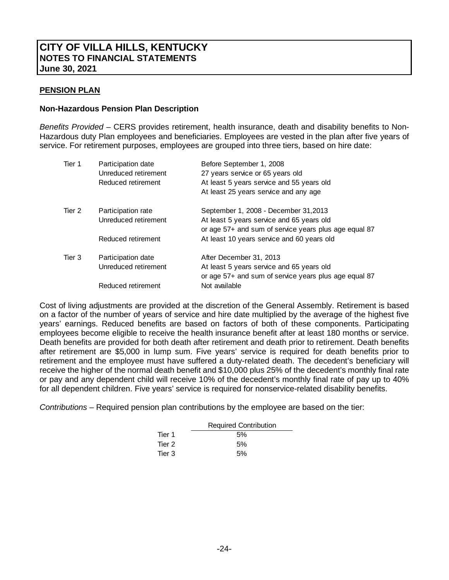#### **PENSION PLAN**

#### **Non-Hazardous Pension Plan Description**

*Benefits Provided –* CERS provides retirement, health insurance, death and disability benefits to Non-Hazardous duty Plan employees and beneficiaries. Employees are vested in the plan after five years of service. For retirement purposes, employees are grouped into three tiers, based on hire date:

| Tier 1 | Participation date<br>Unreduced retirement<br>Reduced retirement | Before September 1, 2008<br>27 years service or 65 years old<br>At least 5 years service and 55 years old<br>At least 25 years service and any age |
|--------|------------------------------------------------------------------|----------------------------------------------------------------------------------------------------------------------------------------------------|
| Tier 2 | Participation rate                                               | September 1, 2008 - December 31,2013                                                                                                               |
|        | Unreduced retirement                                             | At least 5 years service and 65 years old<br>or age 57+ and sum of service years plus age equal 87                                                 |
|        | Reduced retirement                                               | At least 10 years service and 60 years old                                                                                                         |
| Tier 3 | Participation date                                               | After December 31, 2013                                                                                                                            |
|        | Unreduced retirement                                             | At least 5 years service and 65 years old<br>or age 57+ and sum of service years plus age equal 87                                                 |
|        | Reduced retirement                                               | Not available                                                                                                                                      |

Cost of living adjustments are provided at the discretion of the General Assembly. Retirement is based on a factor of the number of years of service and hire date multiplied by the average of the highest five years' earnings. Reduced benefits are based on factors of both of these components. Participating employees become eligible to receive the health insurance benefit after at least 180 months or service. Death benefits are provided for both death after retirement and death prior to retirement. Death benefits after retirement are \$5,000 in lump sum. Five years' service is required for death benefits prior to retirement and the employee must have suffered a duty-related death. The decedent's beneficiary will receive the higher of the normal death benefit and \$10,000 plus 25% of the decedent's monthly final rate or pay and any dependent child will receive 10% of the decedent's monthly final rate of pay up to 40% for all dependent children. Five years' service is required for nonservice-related disability benefits.

*Contributions –* Required pension plan contributions by the employee are based on the tier:

|        | <b>Required Contribution</b> |  |
|--------|------------------------------|--|
| Tier 1 | 5%                           |  |
| Tier 2 | 5%                           |  |
| Tier 3 | 5%                           |  |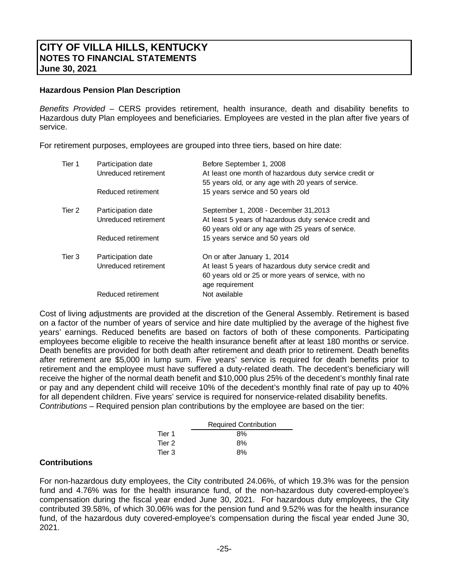#### **Hazardous Pension Plan Description**

*Benefits Provided –* CERS provides retirement, health insurance, death and disability benefits to Hazardous duty Plan employees and beneficiaries. Employees are vested in the plan after five years of service.

For retirement purposes, employees are grouped into three tiers, based on hire date:

| Tier 1 | Participation date   | Before September 1, 2008                               |
|--------|----------------------|--------------------------------------------------------|
|        | Unreduced retirement | At least one month of hazardous duty service credit or |
|        |                      | 55 years old, or any age with 20 years of service.     |
|        | Reduced retirement   | 15 years service and 50 years old                      |
| Tier 2 | Participation date   | September 1, 2008 - December 31, 2013                  |
|        | Unreduced retirement | At least 5 years of hazardous duty service credit and  |
|        |                      | 60 years old or any age with 25 years of service.      |
|        | Reduced retirement   | 15 years service and 50 years old                      |
| Tier 3 | Participation date   | On or after January 1, 2014                            |
|        | Unreduced retirement | At least 5 years of hazardous duty service credit and  |
|        |                      | 60 years old or 25 or more years of service, with no   |
|        |                      | age requirement                                        |
|        | Reduced retirement   | Not available                                          |
|        |                      |                                                        |

Cost of living adjustments are provided at the discretion of the General Assembly. Retirement is based on a factor of the number of years of service and hire date multiplied by the average of the highest five years' earnings. Reduced benefits are based on factors of both of these components. Participating employees become eligible to receive the health insurance benefit after at least 180 months or service. Death benefits are provided for both death after retirement and death prior to retirement. Death benefits after retirement are \$5,000 in lump sum. Five years' service is required for death benefits prior to retirement and the employee must have suffered a duty-related death. The decedent's beneficiary will receive the higher of the normal death benefit and \$10,000 plus 25% of the decedent's monthly final rate or pay and any dependent child will receive 10% of the decedent's monthly final rate of pay up to 40% for all dependent children. Five years' service is required for nonservice-related disability benefits. *Contributions –* Required pension plan contributions by the employee are based on the tier:

|        | <b>Required Contribution</b> |
|--------|------------------------------|
| Tier 1 | 8%                           |
| Tier 2 | 8%                           |
| Tier 3 | 8%                           |

#### **Contributions**

For non-hazardous duty employees, the City contributed 24.06%, of which 19.3% was for the pension fund and 4.76% was for the health insurance fund, of the non-hazardous duty covered-employee's compensation during the fiscal year ended June 30, 2021. For hazardous duty employees, the City contributed 39.58%, of which 30.06% was for the pension fund and 9.52% was for the health insurance fund, of the hazardous duty covered-employee's compensation during the fiscal year ended June 30, 2021.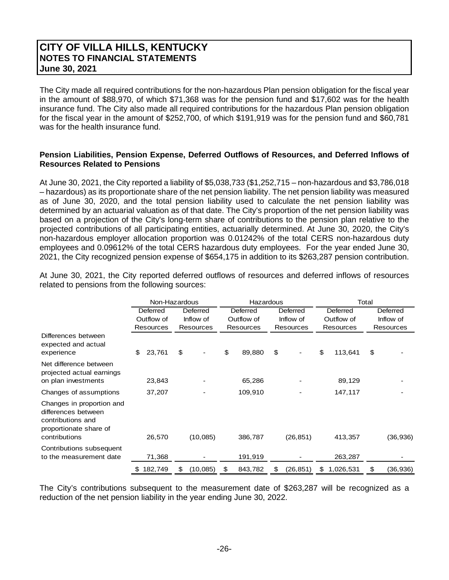The City made all required contributions for the non-hazardous Plan pension obligation for the fiscal year in the amount of \$88,970, of which \$71,368 was for the pension fund and \$17,602 was for the health insurance fund. The City also made all required contributions for the hazardous Plan pension obligation for the fiscal year in the amount of \$252,700, of which \$191,919 was for the pension fund and \$60,781 was for the health insurance fund.

#### **Pension Liabilities, Pension Expense, Deferred Outflows of Resources, and Deferred Inflows of Resources Related to Pensions**

At June 30, 2021, the City reported a liability of \$5,038,733 (\$1,252,715 – non-hazardous and \$3,786,018 – hazardous) as its proportionate share of the net pension liability. The net pension liability was measured as of June 30, 2020, and the total pension liability used to calculate the net pension liability was determined by an actuarial valuation as of that date. The City's proportion of the net pension liability was based on a projection of the City's long-term share of contributions to the pension plan relative to the projected contributions of all participating entities, actuarially determined. At June 30, 2020, the City's non-hazardous employer allocation proportion was 0.01242% of the total CERS non-hazardous duty employees and 0.09612% of the total CERS hazardous duty employees. For the year ended June 30, 2021, the City recognized pension expense of \$654,175 in addition to its \$263,287 pension contribution.

|                                                                                                                  | Non-Hazardous        |            | Hazardous |           |            | Total     |           |           |            |           |           |           |
|------------------------------------------------------------------------------------------------------------------|----------------------|------------|-----------|-----------|------------|-----------|-----------|-----------|------------|-----------|-----------|-----------|
|                                                                                                                  | Deferred<br>Deferred |            |           | Deferred  |            | Deferred  |           | Deferred  |            | Deferred  |           |           |
|                                                                                                                  |                      | Outflow of | Inflow of |           | Outflow of |           | Inflow of |           | Outflow of |           | Inflow of |           |
|                                                                                                                  |                      | Resources  |           | Resources |            | Resources |           | Resources |            | Resources |           | Resources |
| Differences between<br>expected and actual<br>experience                                                         | \$                   | 23,761     | \$        |           | \$         | 89,880    | \$        |           | \$         | 113,641   | \$        |           |
| Net difference between<br>projected actual earnings<br>on plan investments                                       |                      | 23,843     |           |           |            | 65,286    |           |           |            | 89,129    |           |           |
| Changes of assumptions                                                                                           |                      | 37,207     |           |           |            | 109,910   |           |           |            | 147,117   |           |           |
| Changes in proportion and<br>differences between<br>contributions and<br>proportionate share of<br>contributions |                      | 26,570     |           | (10,085)  |            | 386,787   |           | (26, 851) |            | 413,357   |           | (36, 936) |
| Contributions subsequent<br>to the measurement date                                                              |                      | 71,368     |           |           |            | 191,919   |           |           |            | 263,287   |           |           |
|                                                                                                                  |                      | \$182,749  | S         | (10,085)  | \$         | 843,782   | \$        | (26, 851) | \$         | 1,026,531 | \$        | (36, 936) |

At June 30, 2021, the City reported deferred outflows of resources and deferred inflows of resources related to pensions from the following sources:

The City's contributions subsequent to the measurement date of \$263,287 will be recognized as a reduction of the net pension liability in the year ending June 30, 2022.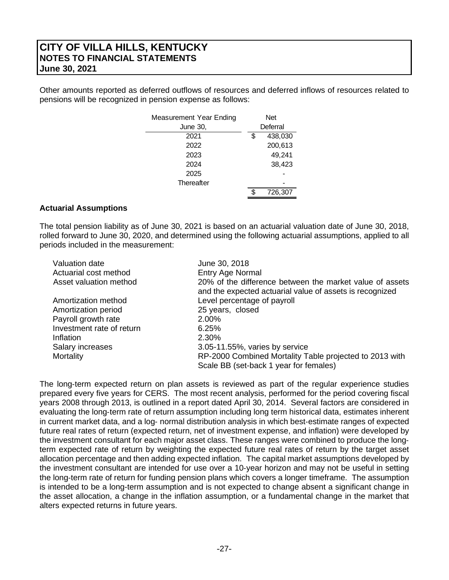Other amounts reported as deferred outflows of resources and deferred inflows of resources related to pensions will be recognized in pension expense as follows:

| <b>Measurement Year Ending</b> |    | Net      |
|--------------------------------|----|----------|
| June 30,                       |    | Deferral |
| 2021                           | ß. | 438,030  |
| 2022                           |    | 200,613  |
| 2023                           |    | 49,241   |
| 2024                           |    | 38,423   |
| 2025                           |    |          |
| Thereafter                     |    |          |
|                                |    | 726,307  |

#### **Actuarial Assumptions**

The total pension liability as of June 30, 2021 is based on an actuarial valuation date of June 30, 2018, rolled forward to June 30, 2020, and determined using the following actuarial assumptions, applied to all periods included in the measurement:

| Valuation date            | June 30, 2018                                                                                                        |
|---------------------------|----------------------------------------------------------------------------------------------------------------------|
| Actuarial cost method     | Entry Age Normal                                                                                                     |
| Asset valuation method    | 20% of the difference between the market value of assets<br>and the expected actuarial value of assets is recognized |
| Amortization method       | Level percentage of payroll                                                                                          |
| Amortization period       | 25 years, closed                                                                                                     |
| Payroll growth rate       | $2.00\%$                                                                                                             |
| Investment rate of return | 6.25%                                                                                                                |
| Inflation                 | 2.30%                                                                                                                |
| Salary increases          | 3.05-11.55%, varies by service                                                                                       |
| Mortality                 | RP-2000 Combined Mortality Table projected to 2013 with                                                              |
|                           | Scale BB (set-back 1 year for females)                                                                               |

The long-term expected return on plan assets is reviewed as part of the regular experience studies prepared every five years for CERS. The most recent analysis, performed for the period covering fiscal years 2008 through 2013, is outlined in a report dated April 30, 2014. Several factors are considered in evaluating the long‐term rate of return assumption including long term historical data, estimates inherent in current market data, and a log‐ normal distribution analysis in which best‐estimate ranges of expected future real rates of return (expected return, net of investment expense, and inflation) were developed by the investment consultant for each major asset class. These ranges were combined to produce the long‐ term expected rate of return by weighting the expected future real rates of return by the target asset allocation percentage and then adding expected inflation. The capital market assumptions developed by the investment consultant are intended for use over a 10‐year horizon and may not be useful in setting the long‐term rate of return for funding pension plans which covers a longer timeframe. The assumption is intended to be a long-term assumption and is not expected to change absent a significant change in the asset allocation, a change in the inflation assumption, or a fundamental change in the market that alters expected returns in future years.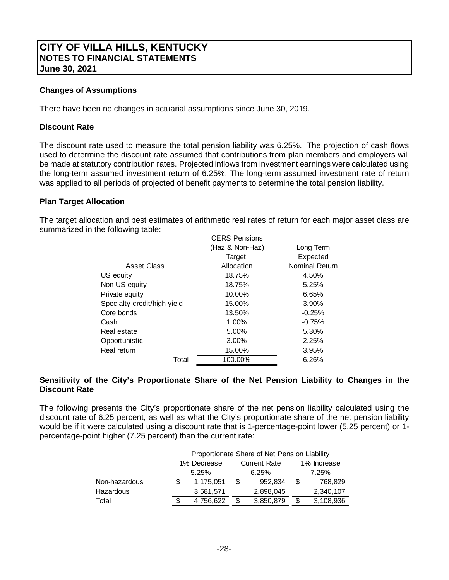#### **Changes of Assumptions**

There have been no changes in actuarial assumptions since June 30, 2019.

#### **Discount Rate**

The discount rate used to measure the total pension liability was 6.25%. The projection of cash flows used to determine the discount rate assumed that contributions from plan members and employers will be made at statutory contribution rates. Projected inflows from investment earnings were calculated using the long‐term assumed investment return of 6.25%. The long‐term assumed investment rate of return was applied to all periods of projected of benefit payments to determine the total pension liability.

#### **Plan Target Allocation**

The target allocation and best estimates of arithmetic real rates of return for each major asset class are summarized in the following table:

| <b>CERS Pensions</b> |                |  |  |
|----------------------|----------------|--|--|
| (Haz & Non-Haz)      | Long Term      |  |  |
| Target               | Expected       |  |  |
| Allocation           | Nominal Return |  |  |
| 18.75%               | 4.50%          |  |  |
| 18.75%               | 5.25%          |  |  |
| 10.00%               | 6.65%          |  |  |
| 15.00%               | 3.90%          |  |  |
| 13.50%               | $-0.25%$       |  |  |
| 1.00%                | $-0.75%$       |  |  |
| 5.00%                | 5.30%          |  |  |
| 3.00%                | 2.25%          |  |  |
| 15.00%               | 3.95%          |  |  |
| 100.00%              | 6.26%          |  |  |
|                      |                |  |  |

#### **Sensitivity of the City's Proportionate Share of the Net Pension Liability to Changes in the Discount Rate**

The following presents the City's proportionate share of the net pension liability calculated using the discount rate of 6.25 percent, as well as what the City's proportionate share of the net pension liability would be if it were calculated using a discount rate that is 1-percentage-point lower (5.25 percent) or 1 percentage-point higher (7.25 percent) than the current rate:

|               | Proportionate Share of Net Pension Liability |           |     |             |  |           |  |
|---------------|----------------------------------------------|-----------|-----|-------------|--|-----------|--|
|               | 1% Decrease<br><b>Current Rate</b>           |           |     | 1% Increase |  |           |  |
|               |                                              | 5.25%     |     | 6.25%       |  | 7.25%     |  |
| Non-hazardous | S                                            | 1,175,051 | \$. | 952.834     |  | 768.829   |  |
| Hazardous     |                                              | 3,581,571 |     | 2,898,045   |  | 2.340.107 |  |
| Total         | S                                            | 4,756,622 | \$  | 3,850,879   |  | 3,108,936 |  |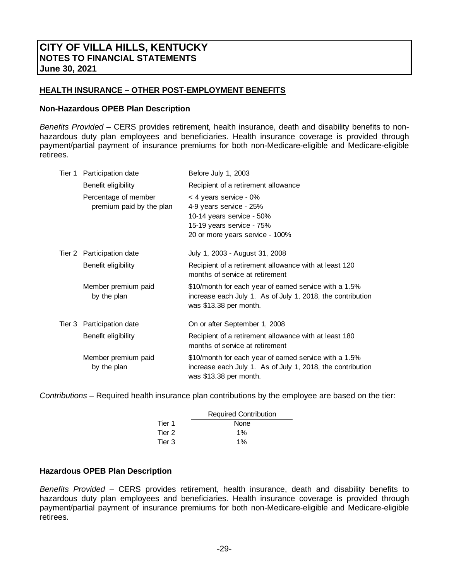## **HEALTH INSURANCE – OTHER POST-EMPLOYMENT BENEFITS**

#### **Non-Hazardous OPEB Plan Description**

*Benefits Provided* – CERS provides retirement, health insurance, death and disability benefits to nonhazardous duty plan employees and beneficiaries. Health insurance coverage is provided through payment/partial payment of insurance premiums for both non-Medicare-eligible and Medicare-eligible retirees.

| Tier 1 Participation date                        | Before July 1, 2003                                                                                                                            |
|--------------------------------------------------|------------------------------------------------------------------------------------------------------------------------------------------------|
| Benefit eligibility                              | Recipient of a retirement allowance                                                                                                            |
| Percentage of member<br>premium paid by the plan | < 4 years service - 0%<br>4-9 years service - 25%<br>10-14 years service - 50%<br>15-19 years service - 75%<br>20 or more years service - 100% |
| Tier 2 Participation date                        | July 1, 2003 - August 31, 2008                                                                                                                 |
| Benefit eligibility                              | Recipient of a retirement allowance with at least 120<br>months of service at retirement                                                       |
| Member premium paid<br>by the plan               | \$10/month for each year of earned service with a 1.5%<br>increase each July 1. As of July 1, 2018, the contribution<br>was \$13.38 per month. |
| Tier 3 Participation date                        | On or after September 1, 2008                                                                                                                  |
| Benefit eligibility                              | Recipient of a retirement allowance with at least 180<br>months of service at retirement                                                       |
| Member premium paid<br>by the plan               | \$10/month for each year of earned service with a 1.5%<br>increase each July 1. As of July 1, 2018, the contribution<br>was \$13.38 per month. |

*Contributions –* Required health insurance plan contributions by the employee are based on the tier:

|        | <b>Required Contribution</b> |
|--------|------------------------------|
| Tier 1 | None                         |
| Tier 2 | $1\%$                        |
| Tier 3 | $1\%$                        |

#### **Hazardous OPEB Plan Description**

*Benefits Provided* – CERS provides retirement, health insurance, death and disability benefits to hazardous duty plan employees and beneficiaries. Health insurance coverage is provided through payment/partial payment of insurance premiums for both non-Medicare-eligible and Medicare-eligible retirees.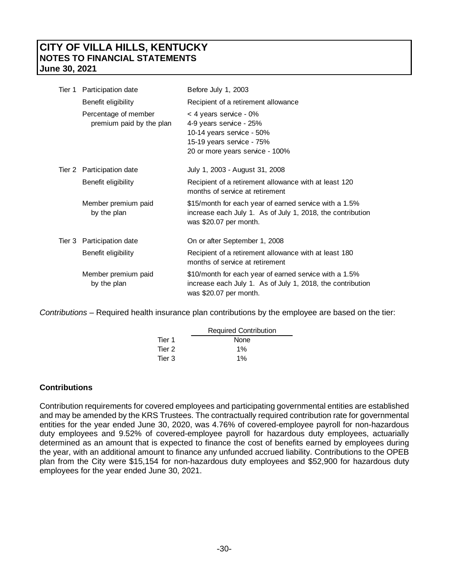| Tier 1 Participation date                        | Before July 1, 2003                                                                                                                            |
|--------------------------------------------------|------------------------------------------------------------------------------------------------------------------------------------------------|
| Benefit eligibility                              | Recipient of a retirement allowance                                                                                                            |
| Percentage of member<br>premium paid by the plan | < 4 years service - 0%<br>4-9 years service - 25%<br>10-14 years service - 50%<br>15-19 years service - 75%<br>20 or more years service - 100% |
| Tier 2 Participation date                        | July 1, 2003 - August 31, 2008                                                                                                                 |
| Benefit eligibility                              | Recipient of a retirement allowance with at least 120<br>months of service at retirement                                                       |
| Member premium paid<br>by the plan               | \$15/month for each year of earned service with a 1.5%<br>increase each July 1. As of July 1, 2018, the contribution<br>was \$20.07 per month. |
| Tier 3 Participation date                        | On or after September 1, 2008                                                                                                                  |
| Benefit eligibility                              | Recipient of a retirement allowance with at least 180<br>months of service at retirement                                                       |
| Member premium paid<br>by the plan               | \$10/month for each year of earned service with a 1.5%<br>increase each July 1. As of July 1, 2018, the contribution<br>was \$20.07 per month. |

*Contributions –* Required health insurance plan contributions by the employee are based on the tier:

|        | <b>Required Contribution</b> |
|--------|------------------------------|
| Tier 1 | None                         |
| Tier 2 | $1\%$                        |
| Tier 3 | $1\%$                        |

#### **Contributions**

Contribution requirements for covered employees and participating governmental entities are established and may be amended by the KRS Trustees. The contractually required contribution rate for governmental entities for the year ended June 30, 2020, was 4.76% of covered-employee payroll for non-hazardous duty employees and 9.52% of covered-employee payroll for hazardous duty employees, actuarially determined as an amount that is expected to finance the cost of benefits earned by employees during the year, with an additional amount to finance any unfunded accrued liability. Contributions to the OPEB plan from the City were \$15,154 for non-hazardous duty employees and \$52,900 for hazardous duty employees for the year ended June 30, 2021.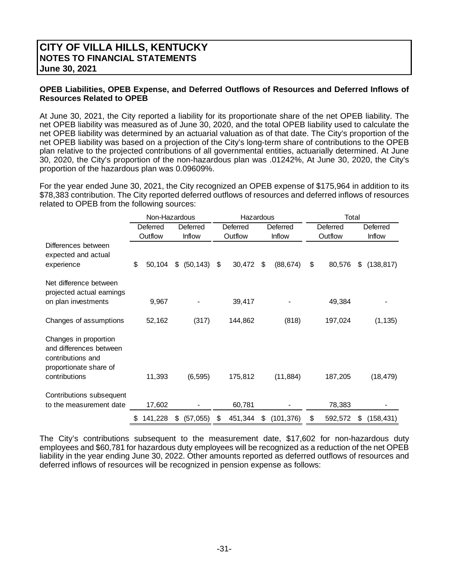#### **OPEB Liabilities, OPEB Expense, and Deferred Outflows of Resources and Deferred Inflows of Resources Related to OPEB**

At June 30, 2021, the City reported a liability for its proportionate share of the net OPEB liability. The net OPEB liability was measured as of June 30, 2020, and the total OPEB liability used to calculate the net OPEB liability was determined by an actuarial valuation as of that date. The City's proportion of the net OPEB liability was based on a projection of the City's long-term share of contributions to the OPEB plan relative to the projected contributions of all governmental entities, actuarially determined. At June 30, 2020, the City's proportion of the non-hazardous plan was .01242%, At June 30, 2020, the City's proportion of the hazardous plan was 0.09609%.

For the year ended June 30, 2021, the City recognized an OPEB expense of \$175,964 in addition to its \$78,383 contribution. The City reported deferred outflows of resources and deferred inflows of resources related to OPEB from the following sources:

|                                                                                                                  | Non-Hazardous |                 | Hazardous |          |    |            |    | Total    |    |            |  |
|------------------------------------------------------------------------------------------------------------------|---------------|-----------------|-----------|----------|----|------------|----|----------|----|------------|--|
|                                                                                                                  | Deferred      | Deferred        |           | Deferred |    | Deferred   |    | Deferred |    | Deferred   |  |
|                                                                                                                  | Outflow       | Inflow          | Outflow   |          |    | Inflow     |    | Outflow  |    | Inflow     |  |
| Differences between<br>expected and actual<br>experience                                                         | \$<br>50,104  | \$<br>(50, 143) | \$        | 30,472   | \$ | (88, 674)  | \$ | 80,576   | \$ | (138, 817) |  |
| Net difference between<br>projected actual earnings<br>on plan investments                                       | 9,967         |                 |           | 39,417   |    |            |    | 49,384   |    |            |  |
| Changes of assumptions                                                                                           | 52,162        | (317)           |           | 144,862  |    | (818)      |    | 197,024  |    | (1, 135)   |  |
| Changes in proportion<br>and differences between<br>contributions and<br>proportionate share of<br>contributions | 11,393        | (6, 595)        |           | 175,812  |    | (11, 884)  |    | 187,205  |    | (18, 479)  |  |
| Contributions subsequent<br>to the measurement date                                                              | 17,602        |                 |           | 60,781   |    |            |    | 78,383   |    |            |  |
|                                                                                                                  | \$<br>141,228 | \$<br>(57, 055) | S         | 451,344  | \$ | (101, 376) | \$ | 592,572  | S  | (158, 431) |  |

The City's contributions subsequent to the measurement date, \$17,602 for non-hazardous duty employees and \$60,781 for hazardous duty employees will be recognized as a reduction of the net OPEB liability in the year ending June 30, 2022. Other amounts reported as deferred outflows of resources and deferred inflows of resources will be recognized in pension expense as follows: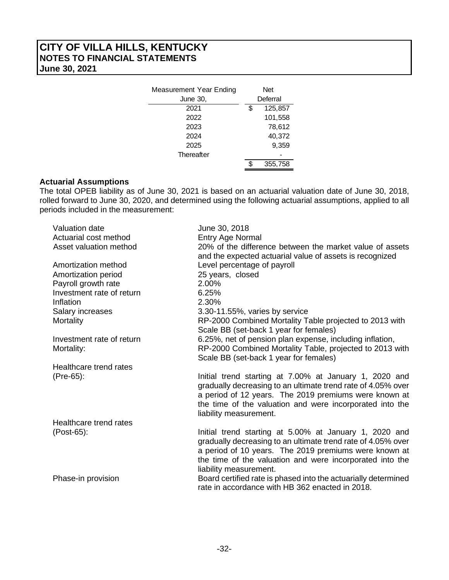| <b>Measurement Year Ending</b> |   | Net      |
|--------------------------------|---|----------|
| June 30,                       |   | Deferral |
| 2021                           | S | 125.857  |
| 2022                           |   | 101,558  |
| 2023                           |   | 78,612   |
| 2024                           |   | 40,372   |
| 2025                           |   | 9,359    |
| Thereafter                     |   |          |
|                                | ሮ | 355,758  |

#### **Actuarial Assumptions**

The total OPEB liability as of June 30, 2021 is based on an actuarial valuation date of June 30, 2018, rolled forward to June 30, 2020, and determined using the following actuarial assumptions, applied to all periods included in the measurement:

| Valuation date            | June 30, 2018                                                  |
|---------------------------|----------------------------------------------------------------|
| Actuarial cost method     | Entry Age Normal                                               |
| Asset valuation method    | 20% of the difference between the market value of assets       |
|                           | and the expected actuarial value of assets is recognized       |
| Amortization method       | Level percentage of payroll                                    |
| Amortization period       | 25 years, closed                                               |
| Payroll growth rate       | 2.00%                                                          |
| Investment rate of return | 6.25%                                                          |
| Inflation                 | 2.30%                                                          |
| Salary increases          | 3.30-11.55%, varies by service                                 |
| Mortality                 | RP-2000 Combined Mortality Table projected to 2013 with        |
|                           | Scale BB (set-back 1 year for females)                         |
| Investment rate of return | 6.25%, net of pension plan expense, including inflation,       |
| Mortality:                | RP-2000 Combined Mortality Table, projected to 2013 with       |
|                           | Scale BB (set-back 1 year for females)                         |
| Healthcare trend rates    |                                                                |
| (Pre-65):                 | Initial trend starting at 7.00% at January 1, 2020 and         |
|                           | gradually decreasing to an ultimate trend rate of 4.05% over   |
|                           | a period of 12 years. The 2019 premiums were known at          |
|                           | the time of the valuation and were incorporated into the       |
|                           | liability measurement.                                         |
| Healthcare trend rates    |                                                                |
| (Post-65):                | Initial trend starting at 5.00% at January 1, 2020 and         |
|                           | gradually decreasing to an ultimate trend rate of 4.05% over   |
|                           | a period of 10 years. The 2019 premiums were known at          |
|                           | the time of the valuation and were incorporated into the       |
|                           | liability measurement.                                         |
| Phase-in provision        | Board certified rate is phased into the actuarially determined |
|                           | rate in accordance with HB 362 enacted in 2018.                |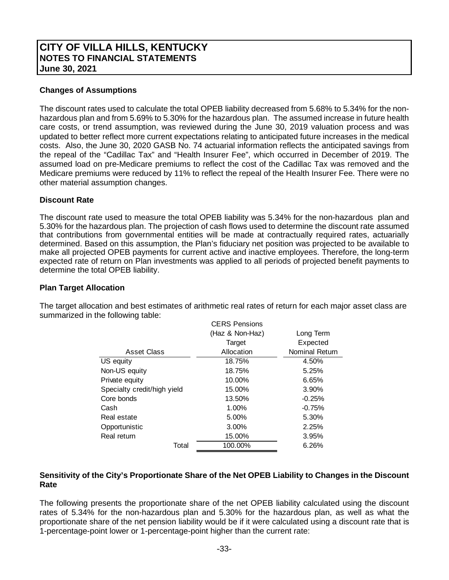### **Changes of Assumptions**

The discount rates used to calculate the total OPEB liability decreased from 5.68% to 5.34% for the nonhazardous plan and from 5.69% to 5.30% for the hazardous plan. The assumed increase in future health care costs, or trend assumption, was reviewed during the June 30, 2019 valuation process and was updated to better reflect more current expectations relating to anticipated future increases in the medical costs. Also, the June 30, 2020 GASB No. 74 actuarial information reflects the anticipated savings from the repeal of the "Cadillac Tax" and "Health Insurer Fee", which occurred in December of 2019. The assumed load on pre-Medicare premiums to reflect the cost of the Cadillac Tax was removed and the Medicare premiums were reduced by 11% to reflect the repeal of the Health Insurer Fee. There were no other material assumption changes.

#### **Discount Rate**

The discount rate used to measure the total OPEB liability was 5.34% for the non-hazardous plan and 5.30% for the hazardous plan. The projection of cash flows used to determine the discount rate assumed that contributions from governmental entities will be made at contractually required rates, actuarially determined. Based on this assumption, the Plan's fiduciary net position was projected to be available to make all projected OPEB payments for current active and inactive employees. Therefore, the long-term expected rate of return on Plan investments was applied to all periods of projected benefit payments to determine the total OPEB liability.

#### **Plan Target Allocation**

|                             | <b>CERS Pensions</b> |                |
|-----------------------------|----------------------|----------------|
|                             | (Haz & Non-Haz)      | Long Term      |
|                             | Target               | Expected       |
| Asset Class                 | Allocation           | Nominal Return |
| US equity                   | 18.75%               | 4.50%          |
| Non-US equity               | 18.75%               | 5.25%          |
| Private equity              | 10.00%               | 6.65%          |
| Specialty credit/high yield | 15.00%               | 3.90%          |
| Core bonds                  | 13.50%               | $-0.25%$       |
| Cash                        | 1.00%                | $-0.75%$       |
| Real estate                 | 5.00%                | 5.30%          |
| Opportunistic               | 3.00%                | 2.25%          |
| Real return                 | 15.00%               | 3.95%          |
| Total                       | 100.00%              | 6.26%          |

The target allocation and best estimates of arithmetic real rates of return for each major asset class are summarized in the following table:

#### **Sensitivity of the City's Proportionate Share of the Net OPEB Liability to Changes in the Discount Rate**

The following presents the proportionate share of the net OPEB liability calculated using the discount rates of 5.34% for the non-hazardous plan and 5.30% for the hazardous plan, as well as what the proportionate share of the net pension liability would be if it were calculated using a discount rate that is 1-percentage-point lower or 1-percentage-point higher than the current rate: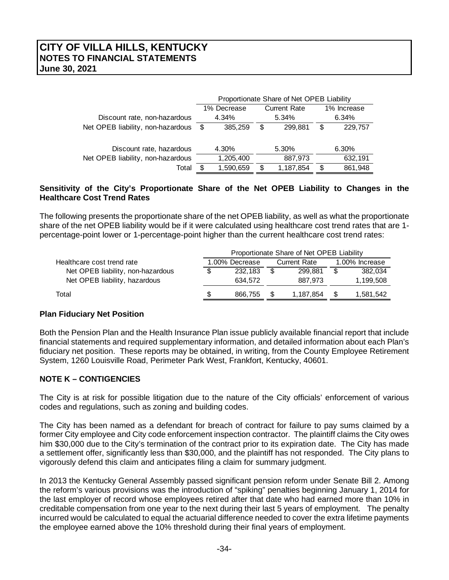|                                   | Proportionate Share of Net OPEB Liability |             |   |                     |       |             |  |  |  |  |  |  |
|-----------------------------------|-------------------------------------------|-------------|---|---------------------|-------|-------------|--|--|--|--|--|--|
|                                   |                                           | 1% Decrease |   | <b>Current Rate</b> |       | 1% Increase |  |  |  |  |  |  |
| Discount rate, non-hazardous      |                                           | 4.34%       |   | 5.34%               | 6.34% |             |  |  |  |  |  |  |
| Net OPEB liability, non-hazardous | - \$                                      | 385.259     | S | 299.881             | \$    | 229.757     |  |  |  |  |  |  |
|                                   |                                           |             |   |                     |       |             |  |  |  |  |  |  |
| Discount rate, hazardous          |                                           | 4.30%       |   | 5.30%               |       | 6.30%       |  |  |  |  |  |  |
| Net OPEB liability, non-hazardous |                                           | 1,205,400   |   | 887.973             |       | 632.191     |  |  |  |  |  |  |
| Total                             | S                                         | 1,590,659   | S | 1,187,854           | \$    | 861,948     |  |  |  |  |  |  |

#### **Sensitivity of the City's Proportionate Share of the Net OPEB Liability to Changes in the Healthcare Cost Trend Rates**

The following presents the proportionate share of the net OPEB liability, as well as what the proportionate share of the net OPEB liability would be if it were calculated using healthcare cost trend rates that are 1 percentage-point lower or 1-percentage-point higher than the current healthcare cost trend rates:

|                                   | Proportionate Share of Net OPEB Liability |                |    |                     |                |           |  |  |  |  |  |
|-----------------------------------|-------------------------------------------|----------------|----|---------------------|----------------|-----------|--|--|--|--|--|
| Healthcare cost trend rate        |                                           | 1.00% Decrease |    | <b>Current Rate</b> | 1.00% Increase |           |  |  |  |  |  |
| Net OPEB liability, non-hazardous | \$                                        | 232.183        | -S | 299.881             | -S             | 382.034   |  |  |  |  |  |
| Net OPEB liability, hazardous     |                                           | 634.572        |    | 887.973             |                | 1.199.508 |  |  |  |  |  |
| Total                             | S                                         | 866.755        | \$ | 1.187.854           |                | 1,581,542 |  |  |  |  |  |

#### **Plan Fiduciary Net Position**

Both the Pension Plan and the Health Insurance Plan issue publicly available financial report that include financial statements and required supplementary information, and detailed information about each Plan's fiduciary net position. These reports may be obtained, in writing, from the County Employee Retirement System, 1260 Louisville Road, Perimeter Park West, Frankfort, Kentucky, 40601.

### **NOTE K – CONTIGENCIES**

The City is at risk for possible litigation due to the nature of the City officials' enforcement of various codes and regulations, such as zoning and building codes.

The City has been named as a defendant for breach of contract for failure to pay sums claimed by a former City employee and City code enforcement inspection contractor. The plaintiff claims the City owes him \$30,000 due to the City's termination of the contract prior to its expiration date. The City has made a settlement offer, significantly less than \$30,000, and the plaintiff has not responded. The City plans to vigorously defend this claim and anticipates filing a claim for summary judgment.

In 2013 the Kentucky General Assembly passed significant pension reform under Senate Bill 2. Among the reform's various provisions was the introduction of "spiking" penalties beginning January 1, 2014 for the last employer of record whose employees retired after that date who had earned more than 10% in creditable compensation from one year to the next during their last 5 years of employment. The penalty incurred would be calculated to equal the actuarial difference needed to cover the extra lifetime payments the employee earned above the 10% threshold during their final years of employment.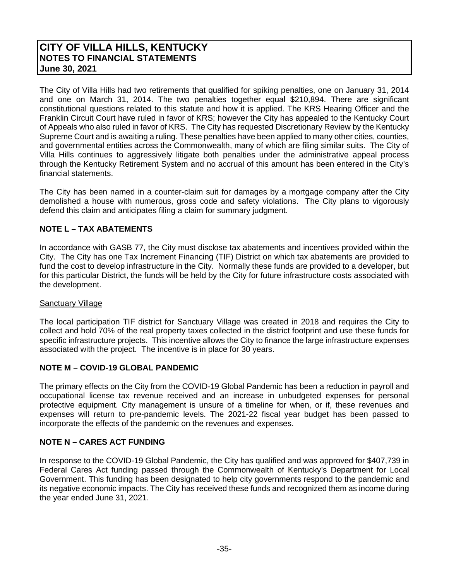The City of Villa Hills had two retirements that qualified for spiking penalties, one on January 31, 2014 and one on March 31, 2014. The two penalties together equal \$210,894. There are significant constitutional questions related to this statute and how it is applied. The KRS Hearing Officer and the Franklin Circuit Court have ruled in favor of KRS; however the City has appealed to the Kentucky Court of Appeals who also ruled in favor of KRS. The City has requested Discretionary Review by the Kentucky Supreme Court and is awaiting a ruling. These penalties have been applied to many other cities, counties, and governmental entities across the Commonwealth, many of which are filing similar suits. The City of Villa Hills continues to aggressively litigate both penalties under the administrative appeal process through the Kentucky Retirement System and no accrual of this amount has been entered in the City's financial statements.

The City has been named in a counter-claim suit for damages by a mortgage company after the City demolished a house with numerous, gross code and safety violations. The City plans to vigorously defend this claim and anticipates filing a claim for summary judgment.

## **NOTE L – TAX ABATEMENTS**

In accordance with GASB 77, the City must disclose tax abatements and incentives provided within the City. The City has one Tax Increment Financing (TIF) District on which tax abatements are provided to fund the cost to develop infrastructure in the City. Normally these funds are provided to a developer, but for this particular District, the funds will be held by the City for future infrastructure costs associated with the development.

#### Sanctuary Village

The local participation TIF district for Sanctuary Village was created in 2018 and requires the City to collect and hold 70% of the real property taxes collected in the district footprint and use these funds for specific infrastructure projects. This incentive allows the City to finance the large infrastructure expenses associated with the project. The incentive is in place for 30 years.

#### **NOTE M – COVID-19 GLOBAL PANDEMIC**

The primary effects on the City from the COVID-19 Global Pandemic has been a reduction in payroll and occupational license tax revenue received and an increase in unbudgeted expenses for personal protective equipment. City management is unsure of a timeline for when, or if, these revenues and expenses will return to pre-pandemic levels. The 2021-22 fiscal year budget has been passed to incorporate the effects of the pandemic on the revenues and expenses.

#### **NOTE N – CARES ACT FUNDING**

In response to the COVID-19 Global Pandemic, the City has qualified and was approved for \$407,739 in Federal Cares Act funding passed through the Commonwealth of Kentucky's Department for Local Government. This funding has been designated to help city governments respond to the pandemic and its negative economic impacts. The City has received these funds and recognized them as income during the year ended June 31, 2021.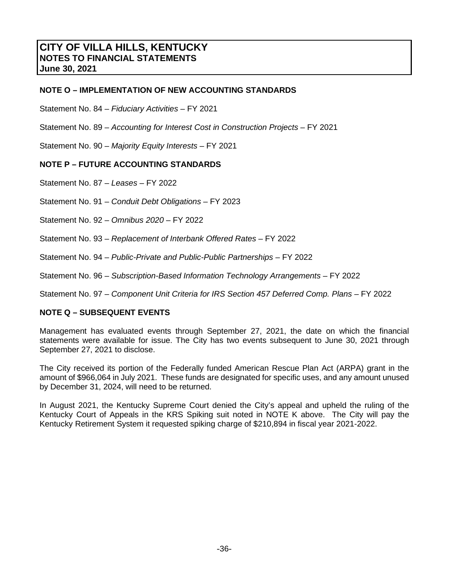### **NOTE O – IMPLEMENTATION OF NEW ACCOUNTING STANDARDS**

Statement No. 84 – *Fiduciary Activities –* FY 2021

Statement No. 89 – *Accounting for Interest Cost in Construction Projects –* FY 2021

Statement No. 90 – *Majority Equity Interests* – FY 2021

#### **NOTE P – FUTURE ACCOUNTING STANDARDS**

Statement No. 87 – *Leases –* FY 2022

Statement No. 91 – *Conduit Debt Obligations* – FY 2023

Statement No. 92 – *Omnibus 2020* – FY 2022

Statement No. 93 – *Replacement of Interbank Offered Rates* – FY 2022

Statement No. 94 – *Public-Private and Public-Public Partnerships* – FY 2022

Statement No. 96 – *Subscription-Based Information Technology Arrangements* – FY 2022

Statement No. 97 – *Component Unit Criteria for IRS Section 457 Deferred Comp. Plans* – FY 2022

#### **NOTE Q – SUBSEQUENT EVENTS**

Management has evaluated events through September 27, 2021, the date on which the financial statements were available for issue. The City has two events subsequent to June 30, 2021 through September 27, 2021 to disclose.

The City received its portion of the Federally funded American Rescue Plan Act (ARPA) grant in the amount of \$966,064 in July 2021. These funds are designated for specific uses, and any amount unused by December 31, 2024, will need to be returned.

In August 2021, the Kentucky Supreme Court denied the City's appeal and upheld the ruling of the Kentucky Court of Appeals in the KRS Spiking suit noted in NOTE K above. The City will pay the Kentucky Retirement System it requested spiking charge of \$210,894 in fiscal year 2021-2022.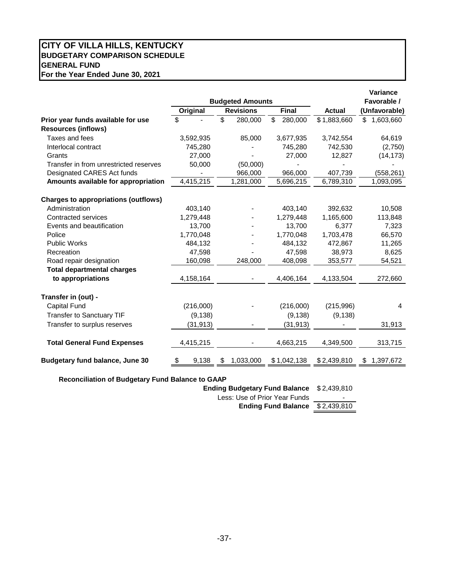## **CITY OF VILLA HILLS, KENTUCKY BUDGETARY COMPARISON SCHEDULE GENERAL FUND For the Year Ended June 30, 2021**

|                                             |             |                         |               | Variance      |                 |  |
|---------------------------------------------|-------------|-------------------------|---------------|---------------|-----------------|--|
|                                             |             | <b>Budgeted Amounts</b> |               |               | Favorable /     |  |
|                                             | Original    | <b>Revisions</b>        | <b>Final</b>  | <b>Actual</b> | (Unfavorable)   |  |
| Prior year funds available for use          | \$          | \$<br>280,000           | \$<br>280,000 | \$1,883,660   | \$1,603,660     |  |
| <b>Resources (inflows)</b>                  |             |                         |               |               |                 |  |
| Taxes and fees                              | 3,592,935   | 85,000                  | 3,677,935     | 3,742,554     | 64,619          |  |
| Interlocal contract                         | 745,280     |                         | 745,280       | 742,530       | (2,750)         |  |
| Grants                                      | 27,000      |                         | 27,000        | 12,827        | (14, 173)       |  |
| Transfer in from unrestricted reserves      | 50,000      | (50,000)                |               |               |                 |  |
| Designated CARES Act funds                  |             | 966,000                 | 966,000       | 407,739       | (558, 261)      |  |
| Amounts available for appropriation         | 4,415,215   | 1,281,000               | 5,696,215     | 6,789,310     | 1,093,095       |  |
| <b>Charges to appropriations (outflows)</b> |             |                         |               |               |                 |  |
| Administration                              | 403,140     |                         | 403,140       | 392,632       | 10,508          |  |
| <b>Contracted services</b>                  | 1,279,448   |                         | 1,279,448     | 1,165,600     | 113,848         |  |
| Events and beautification                   | 13,700      |                         | 13,700        | 6,377         | 7,323           |  |
| Police                                      | 1,770,048   |                         | 1,770,048     | 1,703,478     | 66,570          |  |
| <b>Public Works</b>                         | 484,132     |                         | 484,132       | 472,867       | 11,265          |  |
| Recreation                                  | 47,598      |                         | 47,598        | 38,973        | 8,625           |  |
| Road repair designation                     | 160,098     | 248,000                 | 408,098       | 353,577       | 54,521          |  |
| <b>Total departmental charges</b>           |             |                         |               |               |                 |  |
| to appropriations                           | 4,158,164   |                         | 4,406,164     | 4,133,504     | 272,660         |  |
| Transfer in (out) -                         |             |                         |               |               |                 |  |
| <b>Capital Fund</b>                         | (216,000)   |                         | (216,000)     | (215,996)     | $\overline{4}$  |  |
| <b>Transfer to Sanctuary TIF</b>            | (9, 138)    |                         | (9, 138)      | (9, 138)      |                 |  |
| Transfer to surplus reserves                | (31, 913)   |                         | (31, 913)     |               | 31,913          |  |
|                                             |             |                         |               |               |                 |  |
| <b>Total General Fund Expenses</b>          | 4,415,215   |                         | 4,663,215     | 4,349,500     | 313,715         |  |
| <b>Budgetary fund balance, June 30</b>      | \$<br>9,138 | 1,033,000<br>S          | \$1,042,138   | \$2,439,810   | 1,397,672<br>\$ |  |

**Reconciliation of Budgetary Fund Balance to GAAP**

**Ending Budgetary Fund Balance** \$ 2,439,810

Less: Use of Prior Year Funds -

**Ending Fund Balance** \$2,439,810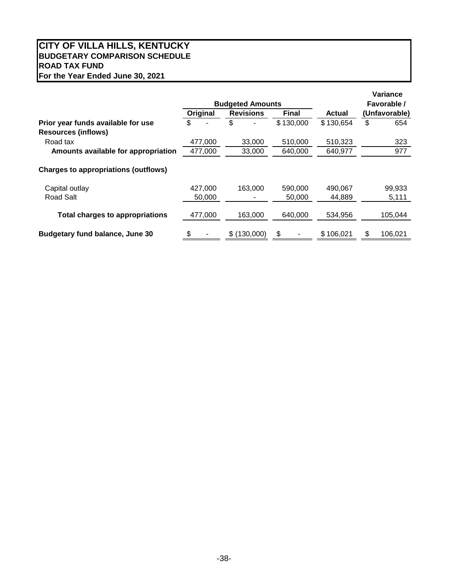## **CITY OF VILLA HILLS, KENTUCKY BUDGETARY COMPARISON SCHEDULE ROAD TAX FUND For the Year Ended June 30, 2021**

|                                             |          |                         |              |               | Variance      |
|---------------------------------------------|----------|-------------------------|--------------|---------------|---------------|
|                                             |          | <b>Budgeted Amounts</b> |              |               | Favorable /   |
|                                             | Original | <b>Revisions</b>        | <b>Final</b> | <b>Actual</b> | (Unfavorable) |
| Prior year funds available for use          | S        | \$                      | \$130,000    | \$130,654     | \$<br>654     |
| <b>Resources (inflows)</b>                  |          |                         |              |               |               |
| Road tax                                    | 477.000  | 33,000                  | 510.000      | 510,323       | 323           |
| Amounts available for appropriation         | 477,000  | 33,000                  | 640,000      | 640,977       | 977           |
| <b>Charges to appropriations (outflows)</b> |          |                         |              |               |               |
| Capital outlay                              | 427,000  | 163,000                 | 590,000      | 490,067       | 99,933        |
| Road Salt                                   | 50,000   |                         | 50,000       | 44,889        | 5,111         |
| <b>Total charges to appropriations</b>      | 477,000  | 163,000                 | 640,000      | 534,956       | 105,044       |
| <b>Budgetary fund balance, June 30</b>      | \$       | \$ (130,000)            | \$           | \$106,021     | \$<br>106,021 |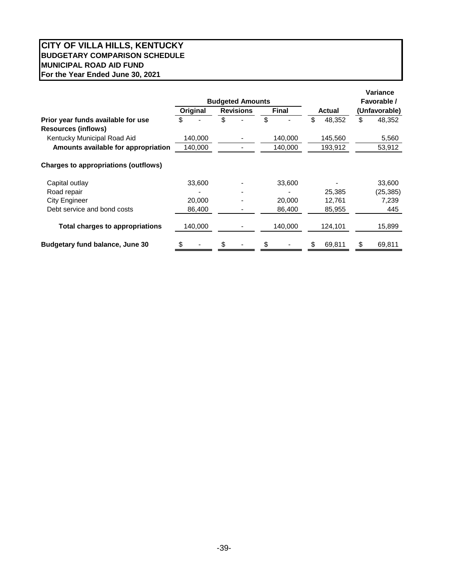## **CITY OF VILLA HILLS, KENTUCKY BUDGETARY COMPARISON SCHEDULE MUNICIPAL ROAD AID FUND For the Year Ended June 30, 2021**

|                                             |          |    |                         |              |         |               |         |               | <b>Variance</b> |
|---------------------------------------------|----------|----|-------------------------|--------------|---------|---------------|---------|---------------|-----------------|
|                                             |          |    | <b>Budgeted Amounts</b> |              |         |               |         |               | Favorable /     |
|                                             | Original |    | <b>Revisions</b>        | <b>Final</b> |         | <b>Actual</b> |         | (Unfavorable) |                 |
| Prior year funds available for use          |          | \$ |                         | \$           |         | \$            | 48,352  | \$            | 48,352          |
| <b>Resources (inflows)</b>                  |          |    |                         |              |         |               |         |               |                 |
| Kentucky Municipal Road Aid                 | 140,000  |    |                         |              | 140,000 |               | 145,560 |               | 5,560           |
| Amounts available for appropriation         | 140,000  |    |                         |              | 140,000 |               | 193,912 |               | 53,912          |
| <b>Charges to appropriations (outflows)</b> |          |    |                         |              |         |               |         |               |                 |
| Capital outlay                              | 33,600   |    |                         |              | 33,600  |               |         |               | 33,600          |
| Road repair                                 |          |    |                         |              |         |               | 25,385  |               | (25, 385)       |
| <b>City Engineer</b>                        | 20,000   |    |                         |              | 20,000  |               | 12,761  |               | 7,239           |
| Debt service and bond costs                 | 86,400   |    |                         |              | 86,400  |               | 85,955  |               | 445             |
| Total charges to appropriations             | 140,000  |    |                         |              | 140,000 |               | 124,101 |               | 15,899          |
| <b>Budgetary fund balance, June 30</b>      |          |    |                         | \$           |         | S             | 69,811  | \$            | 69,811          |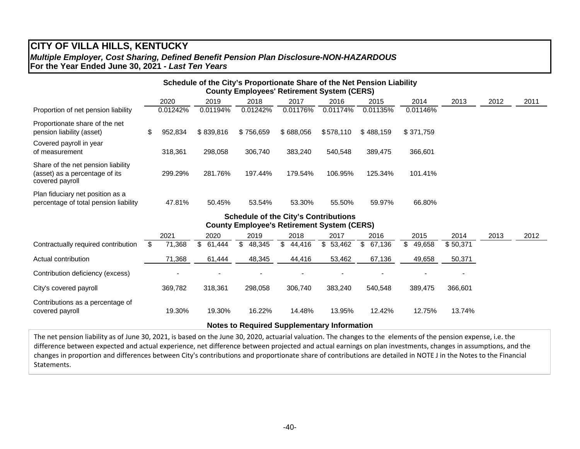## **CITY OF VILLA HILLS, KENTUCKY** *Multiple Employer, Cost Sharing, Defined Benefit Pension Plan Disclosure-NON-HAZARDOUS* **For the Year Ended June 30, 2021** *- Last Ten Years*

| Schedule of the City's Proportionate Share of the Net Pension Liability<br><b>County Employees' Retirement System (CERS)</b> |    |          |              |                                                                                                  |              |           |           |           |          |      |      |
|------------------------------------------------------------------------------------------------------------------------------|----|----------|--------------|--------------------------------------------------------------------------------------------------|--------------|-----------|-----------|-----------|----------|------|------|
|                                                                                                                              |    | 2020     | 2019         | 2018                                                                                             | 2017         | 2016      | 2015      | 2014      | 2013     | 2012 | 2011 |
| Proportion of net pension liability                                                                                          |    | 0.01242% | 0.01194%     | 0.01242%                                                                                         | 0.01176%     | 0.01174%  | 0.01135%  | 0.01146%  |          |      |      |
| Proportionate share of the net<br>pension liability (asset)                                                                  | \$ | 952,834  | \$839,816    | \$756,659                                                                                        | \$688,056    | \$578,110 | \$488,159 | \$371,759 |          |      |      |
| Covered payroll in year<br>of measurement                                                                                    |    | 318,361  | 298,058      | 306,740                                                                                          | 383,240      | 540,548   | 389,475   | 366,601   |          |      |      |
| Share of the net pension liability<br>(asset) as a percentage of its<br>covered payroll                                      |    | 299.29%  | 281.76%      | 197.44%                                                                                          | 179.54%      | 106.95%   | 125.34%   | 101.41%   |          |      |      |
| Plan fiduciary net position as a<br>percentage of total pension liability                                                    |    | 47.81%   | 50.45%       | 53.54%                                                                                           | 53.30%       | 55.50%    | 59.97%    | 66.80%    |          |      |      |
|                                                                                                                              |    |          |              | <b>Schedule of the City's Contributions</b><br><b>County Employee's Retirement System (CERS)</b> |              |           |           |           |          |      |      |
|                                                                                                                              |    | 2021     | 2020         | 2019                                                                                             | 2018         | 2017      | 2016      | 2015      | 2014     | 2013 | 2012 |
| Contractually required contribution                                                                                          | \$ | 71,368   | \$<br>61,444 | \$<br>48,345                                                                                     | \$<br>44,416 | \$53,462  | \$67,136  | \$49,658  | \$50,371 |      |      |
| Actual contribution                                                                                                          |    | 71,368   | 61,444       | 48,345                                                                                           | 44,416       | 53,462    | 67,136    | 49,658    | 50,371   |      |      |
| Contribution deficiency (excess)                                                                                             |    |          |              |                                                                                                  |              |           |           |           |          |      |      |
| City's covered payroll                                                                                                       |    | 369,782  | 318,361      | 298,058                                                                                          | 306,740      | 383,240   | 540,548   | 389,475   | 366,601  |      |      |
| Contributions as a percentage of<br>covered payroll                                                                          |    | 19.30%   | 19.30%       | 16.22%                                                                                           | 14.48%       | 13.95%    | 12.42%    | 12.75%    | 13.74%   |      |      |

#### **Notes to Required Supplementary Information**

The net pension liability as of June 30, 2021, is based on the June 30, 2020, actuarial valuation. The changes to the elements of the pension expense, i.e. the difference between expected and actual experience, net difference between projected and actual earnings on plan investments, changes in assumptions, and the changes in proportion and differences between City's contributions and proportionate share of contributions are detailed in NOTE J in the Notes to the Financial Statements.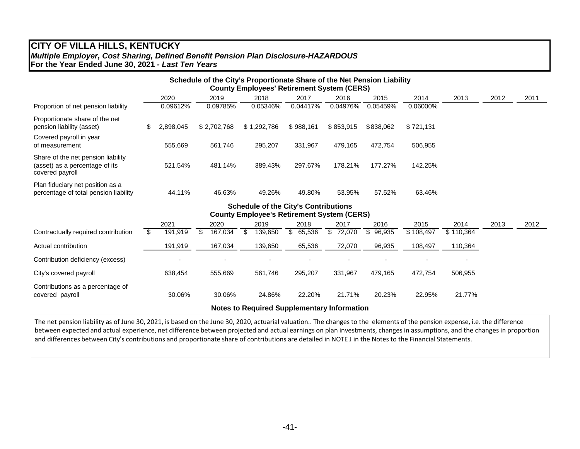#### **CITY OF VILLA HILLS, KENTUCKY** *Multiple Employer, Cost Sharing, Defined Benefit Pension Plan Disclosure-HAZARDOUS* **For the Year Ended June 30, 2021** *- Last Ten Years*

| Schedule of the City's Proportionate Share of the Net Pension Liability<br><b>County Employees' Retirement System (CERS)</b> |    |           |   |             |    |             |                                                                                                  |              |           |           |           |      |      |
|------------------------------------------------------------------------------------------------------------------------------|----|-----------|---|-------------|----|-------------|--------------------------------------------------------------------------------------------------|--------------|-----------|-----------|-----------|------|------|
|                                                                                                                              |    | 2020      |   | 2019        |    | 2018        | 2017                                                                                             | 2016         | 2015      | 2014      | 2013      | 2012 | 2011 |
| Proportion of net pension liability                                                                                          |    | 0.09612%  |   | 0.09785%    |    | 0.05346%    | 0.04417%                                                                                         | 0.04976%     | 0.05459%  | 0.06000%  |           |      |      |
| Proportionate share of the net<br>pension liability (asset)                                                                  | \$ | 2,898,045 |   | \$2,702,768 |    | \$1,292,786 | \$988,161                                                                                        | \$853,915    | \$838,062 | \$721,131 |           |      |      |
| Covered payroll in year<br>of measurement                                                                                    |    | 555,669   |   | 561,746     |    | 295,207     | 331,967                                                                                          | 479,165      | 472,754   | 506,955   |           |      |      |
| Share of the net pension liability<br>(asset) as a percentage of its<br>covered payroll                                      |    | 521.54%   |   | 481.14%     |    | 389.43%     | 297.67%                                                                                          | 178.21%      | 177.27%   | 142.25%   |           |      |      |
| Plan fiduciary net position as a<br>percentage of total pension liability                                                    |    | 44.11%    |   | 46.63%      |    | 49.26%      | 49.80%                                                                                           | 53.95%       | 57.52%    | 63.46%    |           |      |      |
|                                                                                                                              |    |           |   |             |    |             | <b>Schedule of the City's Contributions</b><br><b>County Employee's Retirement System (CERS)</b> |              |           |           |           |      |      |
|                                                                                                                              |    | 2021      |   | 2020        |    | 2019        | 2018                                                                                             | 2017         | 2016      | 2015      | 2014      | 2013 | 2012 |
| Contractually required contribution                                                                                          | \$ | 191,919   | S | 167,034     | \$ | 139,650     | 65,536<br>\$                                                                                     | \$<br>72,070 | \$96,935  | \$108,497 | \$110,364 |      |      |
| Actual contribution                                                                                                          |    | 191,919   |   | 167,034     |    | 139,650     | 65,536                                                                                           | 72,070       | 96,935    | 108,497   | 110,364   |      |      |
| Contribution deficiency (excess)                                                                                             |    |           |   |             |    |             |                                                                                                  |              |           |           |           |      |      |
| City's covered payroll                                                                                                       |    | 638,454   |   | 555,669     |    | 561,746     | 295,207                                                                                          | 331,967      | 479,165   | 472,754   | 506,955   |      |      |
| Contributions as a percentage of<br>covered payroll                                                                          |    | 30.06%    |   | 30.06%      |    | 24.86%      | 22.20%                                                                                           | 21.71%       | 20.23%    | 22.95%    | 21.77%    |      |      |
|                                                                                                                              |    |           |   |             |    |             | <b>Notes to Required Supplementary Information</b>                                               |              |           |           |           |      |      |

The net pension liability as of June 30, 2021, is based on the June 30, 2020, actuarial valuation.. The changes to the elements of the pension expense, i.e. the difference between expected and actual experience, net difference between projected and actual earnings on plan investments, changes in assumptions, and the changes in proportion and differences between City's contributions and proportionate share of contributions are detailed in NOTE J in the Notes to the Financial Statements.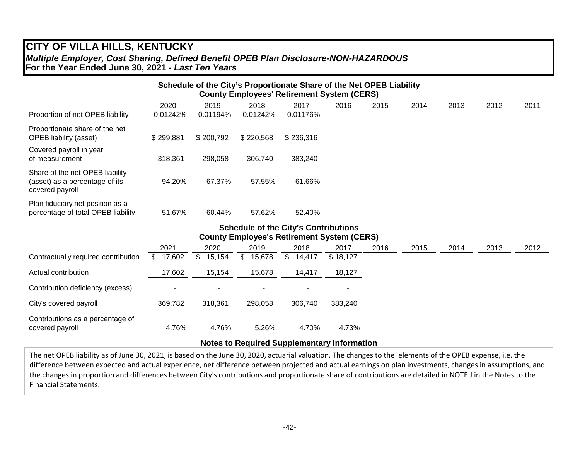## **CITY OF VILLA HILLS, KENTUCKY** *Multiple Employer, Cost Sharing, Defined Benefit OPEB Plan Disclosure-NON-HAZARDOUS* **For the Year Ended June 30, 2021** *- Last Ten Years*

| Schedule of the City's Proportionate Share of the Net OPEB Liability<br><b>County Employees' Retirement System (CERS)</b> |              |                          |                                                                                                  |              |          |      |      |      |      |      |  |  |
|---------------------------------------------------------------------------------------------------------------------------|--------------|--------------------------|--------------------------------------------------------------------------------------------------|--------------|----------|------|------|------|------|------|--|--|
|                                                                                                                           | 2020         | 2019                     | 2018                                                                                             | 2017         | 2016     | 2015 | 2014 | 2013 | 2012 | 2011 |  |  |
| Proportion of net OPEB liability                                                                                          | 0.01242%     | 0.01194%                 | 0.01242%                                                                                         | 0.01176%     |          |      |      |      |      |      |  |  |
| Proportionate share of the net<br><b>OPEB liability (asset)</b>                                                           | \$299,881    | \$200,792                | \$220,568                                                                                        | \$236,316    |          |      |      |      |      |      |  |  |
| Covered payroll in year<br>of measurement                                                                                 | 318,361      | 298,058                  | 306,740                                                                                          | 383,240      |          |      |      |      |      |      |  |  |
| Share of the net OPEB liability<br>(asset) as a percentage of its<br>covered payroll                                      | 94.20%       | 67.37%                   | 57.55%                                                                                           | 61.66%       |          |      |      |      |      |      |  |  |
| Plan fiduciary net position as a<br>percentage of total OPEB liability                                                    | 51.67%       | 60.44%                   | 57.62%                                                                                           | 52.40%       |          |      |      |      |      |      |  |  |
|                                                                                                                           |              |                          | <b>Schedule of the City's Contributions</b><br><b>County Employee's Retirement System (CERS)</b> |              |          |      |      |      |      |      |  |  |
|                                                                                                                           | 2021         | 2020                     | 2019                                                                                             | 2018         | 2017     | 2016 | 2015 | 2014 | 2013 | 2012 |  |  |
| Contractually required contribution                                                                                       | \$<br>17,602 | $\mathfrak{S}$<br>15,154 | $\mathbb{S}$<br>15,678                                                                           | \$<br>14,417 | \$18,127 |      |      |      |      |      |  |  |
| Actual contribution                                                                                                       | 17,602       | 15,154                   | 15,678                                                                                           | 14,417       | 18,127   |      |      |      |      |      |  |  |
| Contribution deficiency (excess)                                                                                          |              |                          |                                                                                                  |              |          |      |      |      |      |      |  |  |
| City's covered payroll                                                                                                    | 369,782      | 318,361                  | 298,058                                                                                          | 306,740      | 383,240  |      |      |      |      |      |  |  |
| Contributions as a percentage of<br>covered payroll                                                                       | 4.76%        | 4.76%                    | 5.26%                                                                                            | 4.70%        | 4.73%    |      |      |      |      |      |  |  |

#### **Notes to Required Supplementary Information**

The net OPEB liability as of June 30, 2021, is based on the June 30, 2020, actuarial valuation. The changes to the elements of the OPEB expense, i.e. the difference between expected and actual experience, net difference between projected and actual earnings on plan investments, changes in assumptions, and the changes in proportion and differences between City's contributions and proportionate share of contributions are detailed in NOTE J in the Notes to the Financial Statements.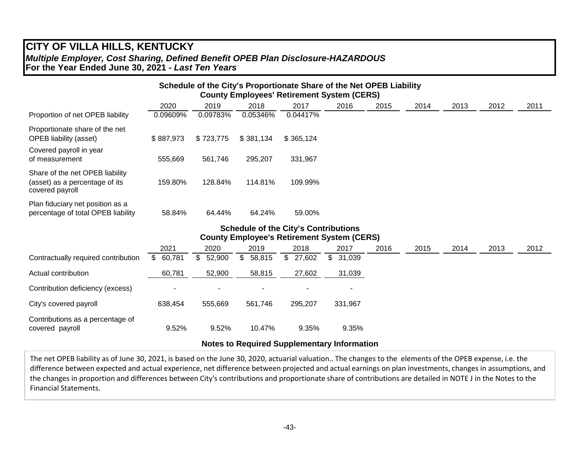## **CITY OF VILLA HILLS, KENTUCKY** *Multiple Employer, Cost Sharing, Defined Benefit OPEB Plan Disclosure-HAZARDOUS* **For the Year Ended June 30, 2021** *- Last Ten Years*

| Schedule of the City's Proportionate Share of the Net OPEB Liability<br><b>County Employees' Retirement System (CERS)</b> |              |              |              |                 |              |      |      |      |      |      |  |
|---------------------------------------------------------------------------------------------------------------------------|--------------|--------------|--------------|-----------------|--------------|------|------|------|------|------|--|
|                                                                                                                           | 2020         | 2019         | 2018         | 2017            | 2016         | 2015 | 2014 | 2013 | 2012 | 2011 |  |
| Proportion of net OPEB liability                                                                                          | 0.09609%     | 0.09783%     | 0.05346%     | 0.04417%        |              |      |      |      |      |      |  |
| Proportionate share of the net<br><b>OPEB liability (asset)</b>                                                           | \$887,973    | \$723,775    | \$381,134    | \$365,124       |              |      |      |      |      |      |  |
| Covered payroll in year<br>of measurement                                                                                 | 555,669      | 561,746      | 295,207      | 331,967         |              |      |      |      |      |      |  |
| Share of the net OPEB liability<br>(asset) as a percentage of its<br>covered payroll                                      | 159.80%      | 128.84%      | 114.81%      | 109.99%         |              |      |      |      |      |      |  |
| Plan fiduciary net position as a<br>percentage of total OPEB liability                                                    | 58.84%       | 64.44%       | 64.24%       | 59.00%          |              |      |      |      |      |      |  |
| <b>Schedule of the City's Contributions</b><br><b>County Employee's Retirement System (CERS)</b>                          |              |              |              |                 |              |      |      |      |      |      |  |
|                                                                                                                           | 2021         | 2020         | 2019         | 2018            | 2017         | 2016 | 2015 | 2014 | 2013 | 2012 |  |
| Contractually required contribution                                                                                       | \$<br>60,781 | \$<br>52,900 | \$<br>58,815 | $\$\$<br>27,602 | \$<br>31,039 |      |      |      |      |      |  |
| Actual contribution                                                                                                       | 60,781       | 52,900       | 58,815       | 27,602          | 31,039       |      |      |      |      |      |  |
| Contribution deficiency (excess)                                                                                          |              |              |              |                 |              |      |      |      |      |      |  |
| City's covered payroll                                                                                                    | 638,454      | 555,669      | 561,746      | 295,207         | 331,967      |      |      |      |      |      |  |
| Contributions as a percentage of<br>covered payroll                                                                       | 9.52%        | 9.52%        | 10.47%       | 9.35%           | 9.35%        |      |      |      |      |      |  |
| <b>Notes to Required Supplementary Information</b>                                                                        |              |              |              |                 |              |      |      |      |      |      |  |

The net OPEB liability as of June 30, 2021, is based on the June 30, 2020, actuarial valuation.. The changes to the elements of the OPEB expense, i.e. the difference between expected and actual experience, net difference between projected and actual earnings on plan investments, changes in assumptions, and the changes in proportion and differences between City's contributions and proportionate share of contributions are detailed in NOTE J in the Notes to the Financial Statements.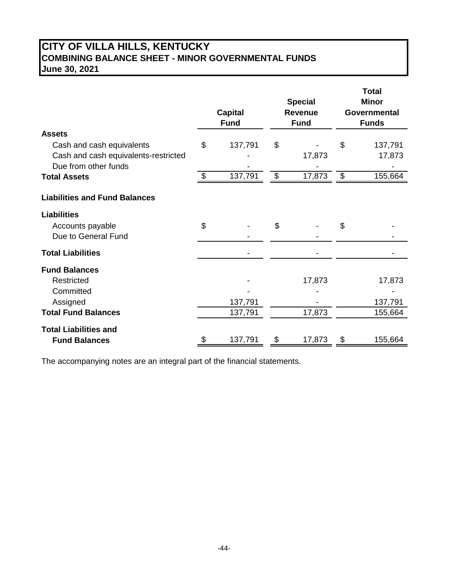## **CITY OF VILLA HILLS, KENTUCKY COMBINING BALANCE SHEET - MINOR GOVERNMENTAL FUNDS June 30, 2021**

|                                                              |                            | <b>Capital</b><br><b>Fund</b> | <b>Special</b><br><b>Revenue</b><br><b>Fund</b> | <b>Total</b><br><b>Minor</b><br>Governmental<br><b>Funds</b> |         |  |
|--------------------------------------------------------------|----------------------------|-------------------------------|-------------------------------------------------|--------------------------------------------------------------|---------|--|
| <b>Assets</b><br>Cash and cash equivalents                   | \$                         | 137,791                       | \$                                              | \$                                                           | 137,791 |  |
| Cash and cash equivalents-restricted<br>Due from other funds |                            |                               | 17,873                                          |                                                              | 17,873  |  |
| <b>Total Assets</b>                                          | $\boldsymbol{\mathsf{\$}}$ | 137,791                       | \$<br>17,873                                    | \$                                                           | 155,664 |  |
| <b>Liabilities and Fund Balances</b>                         |                            |                               |                                                 |                                                              |         |  |
| <b>Liabilities</b>                                           |                            |                               |                                                 |                                                              |         |  |
| Accounts payable<br>Due to General Fund                      | \$                         |                               | \$                                              | \$                                                           |         |  |
| <b>Total Liabilities</b>                                     |                            |                               |                                                 |                                                              |         |  |
| <b>Fund Balances</b>                                         |                            |                               |                                                 |                                                              |         |  |
| Restricted                                                   |                            |                               | 17,873                                          |                                                              | 17,873  |  |
| Committed                                                    |                            |                               |                                                 |                                                              |         |  |
| Assigned                                                     |                            | 137,791                       |                                                 |                                                              | 137,791 |  |
| <b>Total Fund Balances</b>                                   |                            | 137,791                       | 17,873                                          |                                                              | 155,664 |  |
| <b>Total Liabilities and</b>                                 |                            |                               |                                                 |                                                              |         |  |
| <b>Fund Balances</b>                                         | \$                         | 137,791                       | \$<br>17,873                                    | \$                                                           | 155,664 |  |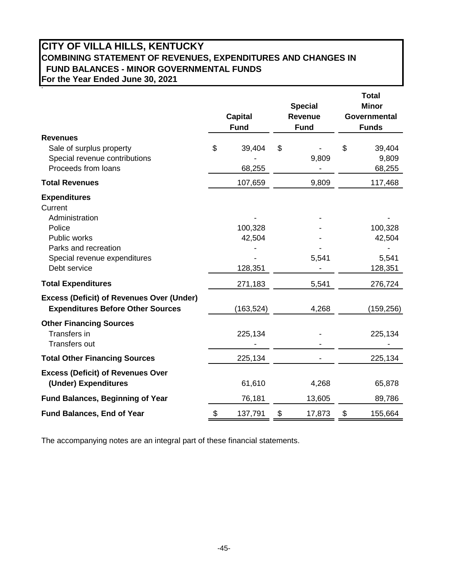## **CITY OF VILLA HILLS, KENTUCKY COMBINING STATEMENT OF REVENUES, EXPENDITURES AND CHANGES IN FUND BALANCES - MINOR GOVERNMENTAL FUNDS For the Year Ended June 30, 2021** .

|                                                  | <b>Capital</b><br><b>Fund</b> | <b>Special</b><br><b>Revenue</b><br><b>Fund</b> |        | <b>Total</b><br><b>Minor</b><br>Governmental<br><b>Funds</b> |            |  |
|--------------------------------------------------|-------------------------------|-------------------------------------------------|--------|--------------------------------------------------------------|------------|--|
| <b>Revenues</b>                                  |                               |                                                 |        |                                                              |            |  |
| Sale of surplus property                         | \$<br>39,404                  | \$                                              |        | \$                                                           | 39,404     |  |
| Special revenue contributions                    |                               |                                                 | 9,809  |                                                              | 9,809      |  |
| Proceeds from loans                              | 68,255                        |                                                 |        |                                                              | 68,255     |  |
| <b>Total Revenues</b>                            | 107,659                       |                                                 | 9,809  |                                                              | 117,468    |  |
| <b>Expenditures</b>                              |                               |                                                 |        |                                                              |            |  |
| Current                                          |                               |                                                 |        |                                                              |            |  |
| Administration                                   |                               |                                                 |        |                                                              |            |  |
| Police                                           | 100,328                       |                                                 |        |                                                              | 100,328    |  |
| Public works<br>Parks and recreation             | 42,504                        |                                                 |        |                                                              | 42,504     |  |
| Special revenue expenditures                     |                               |                                                 | 5,541  |                                                              | 5,541      |  |
| Debt service                                     | 128,351                       |                                                 |        |                                                              | 128,351    |  |
| <b>Total Expenditures</b>                        | 271,183                       |                                                 | 5,541  |                                                              | 276,724    |  |
| <b>Excess (Deficit) of Revenues Over (Under)</b> |                               |                                                 |        |                                                              |            |  |
| <b>Expenditures Before Other Sources</b>         | (163, 524)                    |                                                 | 4,268  |                                                              | (159, 256) |  |
| <b>Other Financing Sources</b>                   |                               |                                                 |        |                                                              |            |  |
| Transfers in                                     | 225,134                       |                                                 |        |                                                              | 225,134    |  |
| <b>Transfers out</b>                             |                               |                                                 |        |                                                              |            |  |
| <b>Total Other Financing Sources</b>             | 225,134                       |                                                 |        |                                                              | 225,134    |  |
| <b>Excess (Deficit) of Revenues Over</b>         |                               |                                                 |        |                                                              |            |  |
| (Under) Expenditures                             | 61,610                        |                                                 | 4,268  |                                                              | 65,878     |  |
| <b>Fund Balances, Beginning of Year</b>          | 76,181                        |                                                 | 13,605 |                                                              | 89,786     |  |
| <b>Fund Balances, End of Year</b>                | \$<br>137,791                 | \$                                              | 17,873 | \$                                                           | 155,664    |  |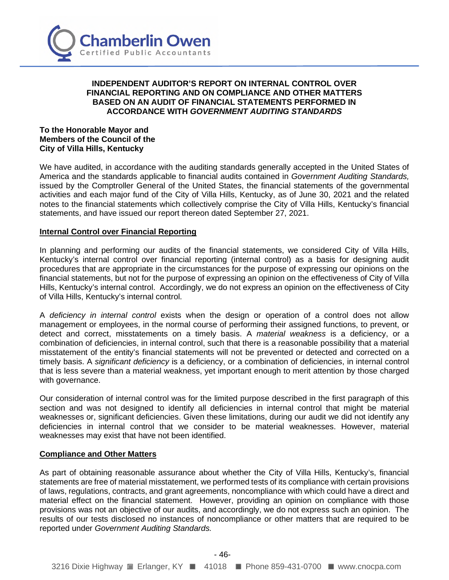

#### **INDEPENDENT AUDITOR'S REPORT ON INTERNAL CONTROL OVER FINANCIAL REPORTING AND ON COMPLIANCE AND OTHER MATTERS BASED ON AN AUDIT OF FINANCIAL STATEMENTS PERFORMED IN ACCORDANCE WITH** *GOVERNMENT AUDITING STANDARDS*

#### **To the Honorable Mayor and Members of the Council of the City of Villa Hills, Kentucky**

We have audited, in accordance with the auditing standards generally accepted in the United States of America and the standards applicable to financial audits contained in *Government Auditing Standards,* issued by the Comptroller General of the United States, the financial statements of the governmental activities and each major fund of the City of Villa Hills, Kentucky, as of June 30, 2021 and the related notes to the financial statements which collectively comprise the City of Villa Hills, Kentucky's financial statements, and have issued our report thereon dated September 27, 2021.

#### **Internal Control over Financial Reporting**

In planning and performing our audits of the financial statements, we considered City of Villa Hills, Kentucky's internal control over financial reporting (internal control) as a basis for designing audit procedures that are appropriate in the circumstances for the purpose of expressing our opinions on the financial statements, but not for the purpose of expressing an opinion on the effectiveness of City of Villa Hills, Kentucky's internal control. Accordingly, we do not express an opinion on the effectiveness of City of Villa Hills, Kentucky's internal control.

A *deficiency in internal control* exists when the design or operation of a control does not allow management or employees, in the normal course of performing their assigned functions, to prevent, or detect and correct, misstatements on a timely basis. A *material weakness* is a deficiency, or a combination of deficiencies, in internal control, such that there is a reasonable possibility that a material misstatement of the entity's financial statements will not be prevented or detected and corrected on a timely basis. A *significant deficiency* is a deficiency, or a combination of deficiencies, in internal control that is less severe than a material weakness, yet important enough to merit attention by those charged with governance.

Our consideration of internal control was for the limited purpose described in the first paragraph of this section and was not designed to identify all deficiencies in internal control that might be material weaknesses or, significant deficiencies. Given these limitations, during our audit we did not identify any deficiencies in internal control that we consider to be material weaknesses. However, material weaknesses may exist that have not been identified.

#### **Compliance and Other Matters**

As part of obtaining reasonable assurance about whether the City of Villa Hills, Kentucky's, financial statements are free of material misstatement, we performed tests of its compliance with certain provisions of laws, regulations, contracts, and grant agreements, noncompliance with which could have a direct and material effect on the financial statement. However, providing an opinion on compliance with those provisions was not an objective of our audits, and accordingly, we do not express such an opinion. The results of our tests disclosed no instances of noncompliance or other matters that are required to be reported under *Government Auditing Standards.*